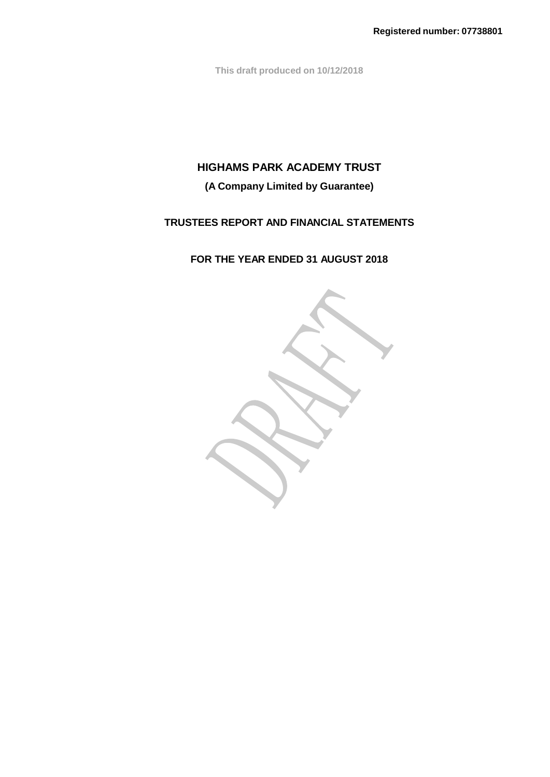**This draft produced on 10/12/2018** 

# **HIGHAMS PARK ACADEMY TRUST**

# **(A Company Limited by Guarantee)**

# **TRUSTEES REPORT AND FINANCIAL STATEMENTS**

# **FOR THE YEAR ENDED 31 AUGUST 2018**

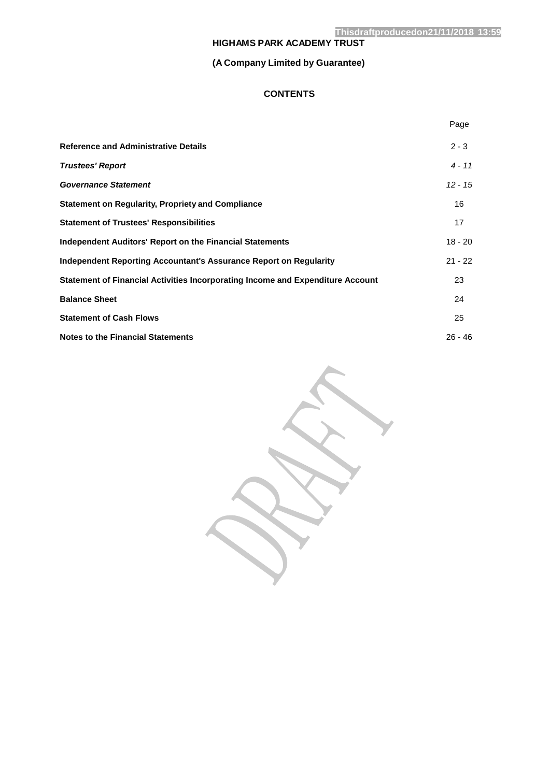# **(A Company Limited by Guarantee)**

# **CONTENTS**

|                                                                                | Page      |
|--------------------------------------------------------------------------------|-----------|
| <b>Reference and Administrative Details</b>                                    | $2 - 3$   |
| <b>Trustees' Report</b>                                                        | $4 - 11$  |
| <b>Governance Statement</b>                                                    | $12 - 15$ |
| <b>Statement on Regularity, Propriety and Compliance</b>                       | 16        |
| <b>Statement of Trustees' Responsibilities</b>                                 | 17        |
| <b>Independent Auditors' Report on the Financial Statements</b>                | $18 - 20$ |
| <b>Independent Reporting Accountant's Assurance Report on Regularity</b>       | $21 - 22$ |
| Statement of Financial Activities Incorporating Income and Expenditure Account | 23        |
| <b>Balance Sheet</b>                                                           | 24        |
| <b>Statement of Cash Flows</b>                                                 | 25        |
| <b>Notes to the Financial Statements</b>                                       | $26 - 46$ |

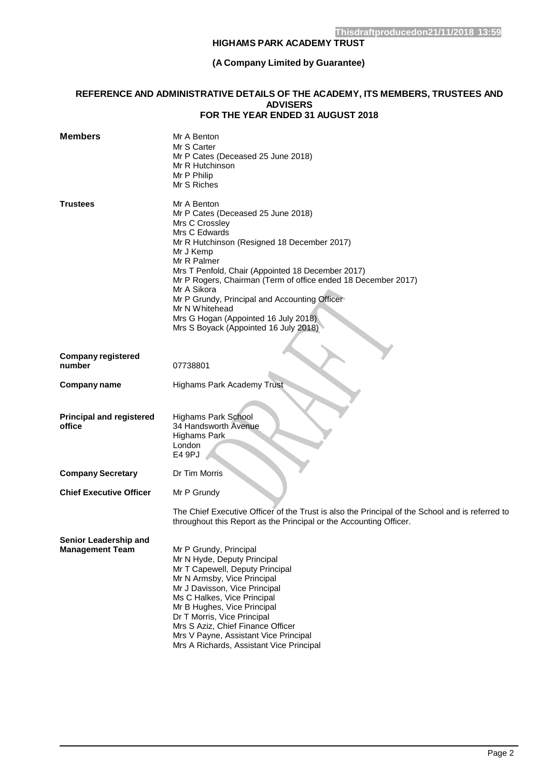# **(A Company Limited by Guarantee)**

### **REFERENCE AND ADMINISTRATIVE DETAILS OF THE ACADEMY, ITS MEMBERS, TRUSTEES AND ADVISERS FOR THE YEAR ENDED 31 AUGUST 2018**

| <b>Members</b>                                  | Mr A Benton<br>Mr S Carter<br>Mr P Cates (Deceased 25 June 2018)<br>Mr R Hutchinson<br>Mr P Philip<br>Mr S Riches                                                                                                                                                                                                                                                                                                                                        |
|-------------------------------------------------|----------------------------------------------------------------------------------------------------------------------------------------------------------------------------------------------------------------------------------------------------------------------------------------------------------------------------------------------------------------------------------------------------------------------------------------------------------|
| <b>Trustees</b>                                 | Mr A Benton<br>Mr P Cates (Deceased 25 June 2018)<br>Mrs C Crossley<br>Mrs C Edwards<br>Mr R Hutchinson (Resigned 18 December 2017)<br>Mr J Kemp<br>Mr R Palmer<br>Mrs T Penfold, Chair (Appointed 18 December 2017)<br>Mr P Rogers, Chairman (Term of office ended 18 December 2017)<br>Mr A Sikora<br>Mr P Grundy, Principal and Accounting Officer<br>Mr N Whitehead<br>Mrs G Hogan (Appointed 16 July 2018)<br>Mrs S Boyack (Appointed 16 July 2018) |
| <b>Company registered</b><br>number             | 07738801                                                                                                                                                                                                                                                                                                                                                                                                                                                 |
| <b>Company name</b>                             | <b>Highams Park Academy Trust</b>                                                                                                                                                                                                                                                                                                                                                                                                                        |
| <b>Principal and registered</b><br>office       | <b>Highams Park School</b><br>34 Handsworth Avenue<br><b>Highams Park</b><br>London<br>E4 9PJ                                                                                                                                                                                                                                                                                                                                                            |
| <b>Company Secretary</b>                        | Dr Tim Morris                                                                                                                                                                                                                                                                                                                                                                                                                                            |
| <b>Chief Executive Officer</b>                  | Mr P Grundy                                                                                                                                                                                                                                                                                                                                                                                                                                              |
|                                                 | The Chief Executive Officer of the Trust is also the Principal of the School and is referred to<br>throughout this Report as the Principal or the Accounting Officer.                                                                                                                                                                                                                                                                                    |
| Senior Leadership and<br><b>Management Team</b> | Mr P Grundy, Principal<br>Mr N Hyde, Deputy Principal<br>Mr T Capewell, Deputy Principal<br>Mr N Armsby, Vice Principal<br>Mr J Davisson, Vice Principal<br>Ms C Halkes, Vice Principal<br>Mr B Hughes, Vice Principal<br>Dr T Morris, Vice Principal<br>Mrs S Aziz, Chief Finance Officer<br>Mrs V Payne, Assistant Vice Principal<br>Mrs A Richards, Assistant Vice Principal                                                                          |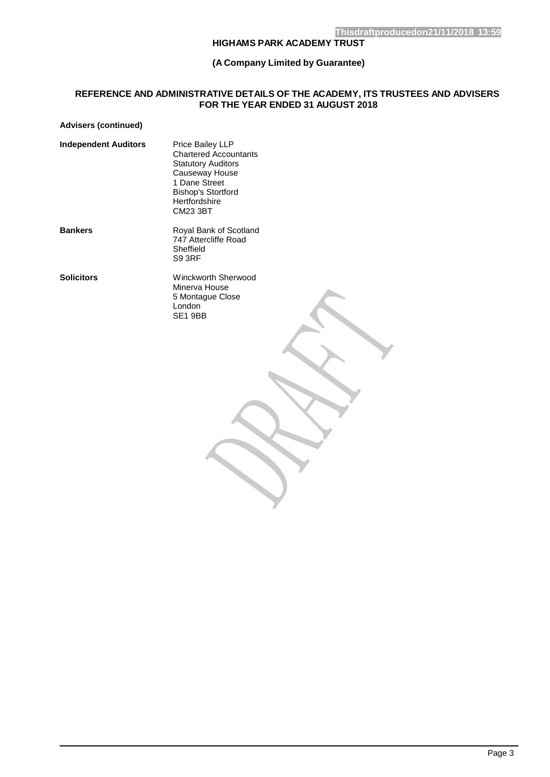# **(A Company Limited by Guarantee)**

## **REFERENCE AND ADMINISTRATIVE DETAILS OF THE ACADEMY, ITS TRUSTEES AND ADVISERS FOR THE YEAR ENDED 31 AUGUST 2018**

### **Advisers (continued)**

| <b>Independent Auditors</b> | Price Bailey LLP<br><b>Chartered Accountants</b><br><b>Statutory Auditors</b><br>Causeway House<br>1 Dane Street<br><b>Bishop's Stortford</b><br>Hertfordshire<br>CM23.3BT |
|-----------------------------|----------------------------------------------------------------------------------------------------------------------------------------------------------------------------|
| <b>Bankers</b>              | Royal Bank of Scotland<br>747 Attercliffe Road<br>Sheffield<br>S9 3RF                                                                                                      |

**Solicitors** Winckworth Sherwood Minerva House 5 Montague Close London SE1 9BB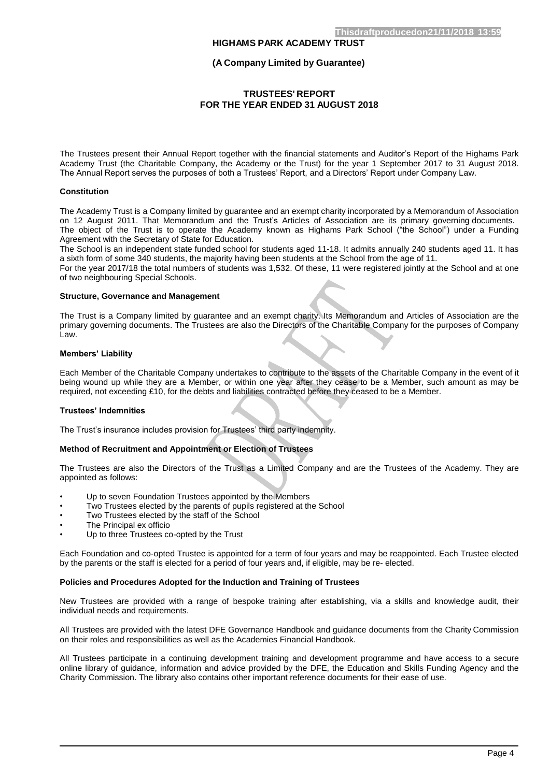#### **(A Company Limited by Guarantee)**

### **TRUSTEES' REPORT FOR THE YEAR ENDED 31 AUGUST 2018**

<span id="page-4-0"></span>The Trustees present their Annual Report together with the financial statements and Auditor's Report of the Highams Park Academy Trust (the Charitable Company, the Academy or the Trust) for the year 1 September 2017 to 31 August 2018. The Annual Report serves the purposes of both a Trustees' Report, and a Directors' Report under Company Law.

#### **Constitution**

The Academy Trust is a Company limited by guarantee and an exempt charity incorporated by a Memorandum of Association on 12 August 2011. That Memorandum and the Trust's Articles of Association are its primary governing documents. The object of the Trust is to operate the Academy known as Highams Park School ("the School") under a Funding Agreement with the Secretary of State for Education.

The School is an independent state funded school for students aged 11-18. It admits annually 240 students aged 11. It has a sixth form of some 340 students, the majority having been students at the School from the age of 11.

For the year 2017/18 the total numbers of students was 1,532. Of these, 11 were registered jointly at the School and at one of two neighbouring Special Schools.

#### **Structure, Governance and Management**

The Trust is a Company limited by guarantee and an exempt charity. Its Memorandum and Articles of Association are the primary governing documents. The Trustees are also the Directors of the Charitable Company for the purposes of Company Law.

#### **Members' Liability**

Each Member of the Charitable Company undertakes to contribute to the assets of the Charitable Company in the event of it being wound up while they are a Member, or within one year after they cease to be a Member, such amount as may be required, not exceeding £10, for the debts and liabilities contracted before they ceased to be a Member.

#### **Trustees' Indemnities**

The Trust's insurance includes provision for Trustees' third party indemnity.

#### **Method of Recruitment and Appointment or Election of Trustees**

The Trustees are also the Directors of the Trust as a Limited Company and are the Trustees of the Academy. They are appointed as follows:

- Up to seven Foundation Trustees appointed by the Members
- Two Trustees elected by the parents of pupils registered at the School
- Two Trustees elected by the staff of the School
- The Principal ex officio
- Up to three Trustees co-opted by the Trust

Each Foundation and co-opted Trustee is appointed for a term of four years and may be reappointed. Each Trustee elected by the parents or the staff is elected for a period of four years and, if eligible, may be re- elected.

#### **Policies and Procedures Adopted for the Induction and Training of Trustees**

New Trustees are provided with a range of bespoke training after establishing, via a skills and knowledge audit, their individual needs and requirements.

All Trustees are provided with the latest DFE Governance Handbook and guidance documents from the Charity Commission on their roles and responsibilities as well as the Academies Financial Handbook.

All Trustees participate in a continuing development training and development programme and have access to a secure online library of guidance, information and advice provided by the DFE, the Education and Skills Funding Agency and the Charity Commission. The library also contains other important reference documents for their ease of use.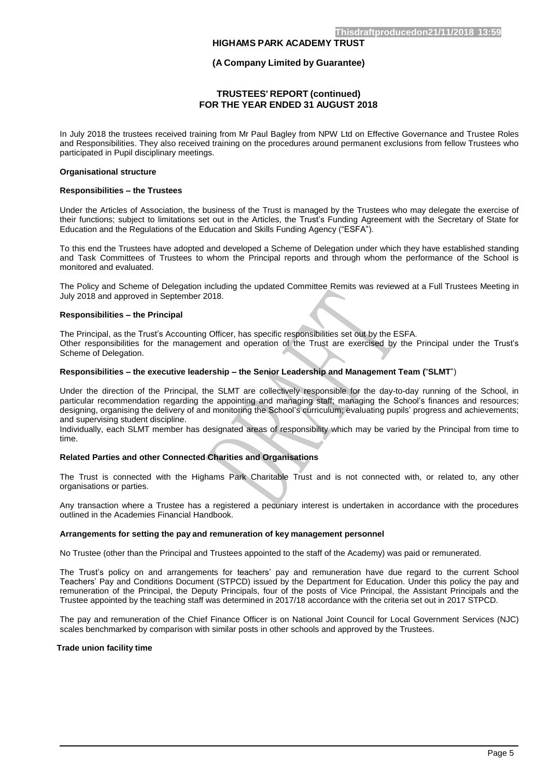#### **(A Company Limited by Guarantee)**

### **TRUSTEES' REPORT (continued) FOR THE YEAR ENDED 31 AUGUST 2018**

In July 2018 the trustees received training from Mr Paul Bagley from NPW Ltd on Effective Governance and Trustee Roles and Responsibilities. They also received training on the procedures around permanent exclusions from fellow Trustees who participated in Pupil disciplinary meetings.

#### **Organisational structure**

#### **Responsibilities – the Trustees**

Under the Articles of Association, the business of the Trust is managed by the Trustees who may delegate the exercise of their functions; subject to limitations set out in the Articles, the Trust's Funding Agreement with the Secretary of State for Education and the Regulations of the Education and Skills Funding Agency ("ESFA").

To this end the Trustees have adopted and developed a Scheme of Delegation under which they have established standing and Task Committees of Trustees to whom the Principal reports and through whom the performance of the School is monitored and evaluated.

The Policy and Scheme of Delegation including the updated Committee Remits was reviewed at a Full Trustees Meeting in July 2018 and approved in September 2018.

#### **Responsibilities – the Principal**

The Principal, as the Trust's Accounting Officer, has specific responsibilities set out by the ESFA. Other responsibilities for the management and operation of the Trust are exercised by the Principal under the Trust's Scheme of Delegation.

# **Responsibilities – the executive leadership – the Senior Leadership and Management Team (**"**SLMT**")

Under the direction of the Principal, the SLMT are collectively responsible for the day-to-day running of the School, in particular recommendation regarding the appointing and managing staff; managing the School's finances and resources; designing, organising the delivery of and monitoring the School's curriculum; evaluating pupils' progress and achievements; and supervising student discipline.

Individually, each SLMT member has designated areas of responsibility which may be varied by the Principal from time to time.

#### **Related Parties and other Connected Charities and Organisations**

The Trust is connected with the Highams Park Charitable Trust and is not connected with, or related to, any other organisations or parties.

Any transaction where a Trustee has a registered a pecuniary interest is undertaken in accordance with the procedures outlined in the Academies Financial Handbook.

#### **Arrangements for setting the pay and remuneration of key management personnel**

No Trustee (other than the Principal and Trustees appointed to the staff of the Academy) was paid or remunerated.

The Trust's policy on and arrangements for teachers' pay and remuneration have due regard to the current School Teachers' Pay and Conditions Document (STPCD) issued by the Department for Education. Under this policy the pay and remuneration of the Principal, the Deputy Principals, four of the posts of Vice Principal, the Assistant Principals and the Trustee appointed by the teaching staff was determined in 2017/18 accordance with the criteria set out in 2017 STPCD.

The pay and remuneration of the Chief Finance Officer is on National Joint Council for Local Government Services (NJC) scales benchmarked by comparison with similar posts in other schools and approved by the Trustees.

#### **Trade union facility time**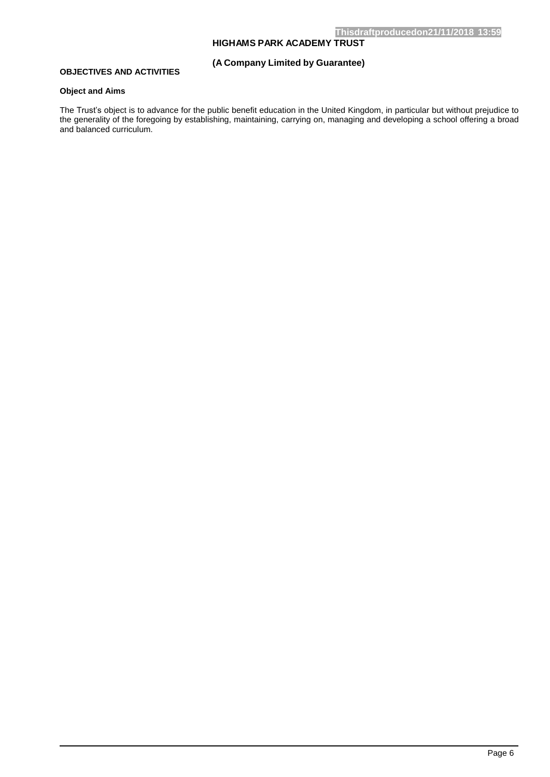## **(A Company Limited by Guarantee)**

# **OBJECTIVES AND ACTIVITIES**

### **Object and Aims**

The Trust's object is to advance for the public benefit education in the United Kingdom, in particular but without prejudice to the generality of the foregoing by establishing, maintaining, carrying on, managing and developing a school offering a broad and balanced curriculum.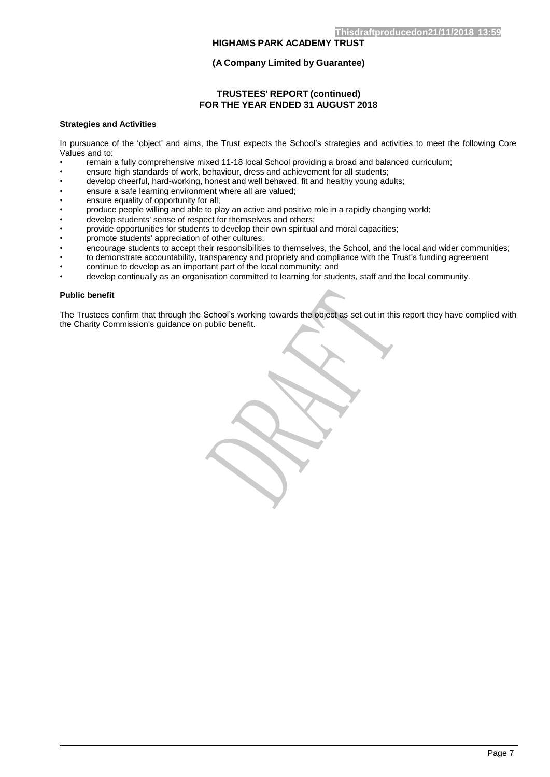### **(A Company Limited by Guarantee)**

### **TRUSTEES' REPORT (continued) FOR THE YEAR ENDED 31 AUGUST 2018**

#### **Strategies and Activities**

In pursuance of the 'object' and aims, the Trust expects the School's strategies and activities to meet the following Core Values and to:

- remain a fully comprehensive mixed 11-18 local School providing a broad and balanced curriculum;
- ensure high standards of work, behaviour, dress and achievement for all students;
- develop cheerful, hard-working, honest and well behaved, fit and healthy young adults;
- ensure a safe learning environment where all are valued;
- ensure equality of opportunity for all;
- produce people willing and able to play an active and positive role in a rapidly changing world;
- develop students' sense of respect for themselves and others;
- provide opportunities for students to develop their own spiritual and moral capacities;
- promote students' appreciation of other cultures;
- encourage students to accept their responsibilities to themselves, the School, and the local and wider communities;
- to demonstrate accountability, transparency and propriety and compliance with the Trust's funding agreement
- continue to develop as an important part of the local community; and
- develop continually as an organisation committed to learning for students, staff and the local community.

#### **Public benefit**

The Trustees confirm that through the School's working towards the object as set out in this report they have complied with the Charity Commission's guidance on public benefit.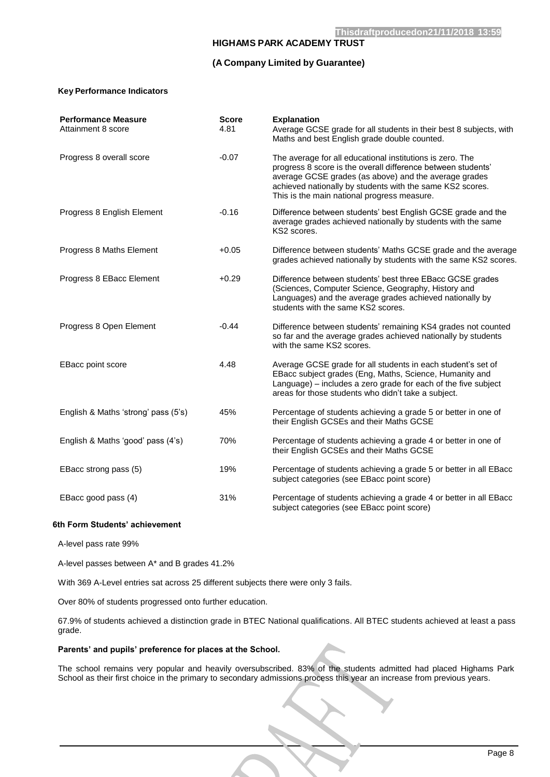### **(A Company Limited by Guarantee)**

### **Key Performance Indicators**

| <b>Performance Measure</b><br>Attainment 8 score | <b>Score</b><br>4.81 | <b>Explanation</b><br>Average GCSE grade for all students in their best 8 subjects, with<br>Maths and best English grade double counted.                                                                                                                                                       |
|--------------------------------------------------|----------------------|------------------------------------------------------------------------------------------------------------------------------------------------------------------------------------------------------------------------------------------------------------------------------------------------|
| Progress 8 overall score                         | $-0.07$              | The average for all educational institutions is zero. The<br>progress 8 score is the overall difference between students'<br>average GCSE grades (as above) and the average grades<br>achieved nationally by students with the same KS2 scores.<br>This is the main national progress measure. |
| Progress 8 English Element                       | $-0.16$              | Difference between students' best English GCSE grade and the<br>average grades achieved nationally by students with the same<br>KS2 scores.                                                                                                                                                    |
| Progress 8 Maths Element                         | $+0.05$              | Difference between students' Maths GCSE grade and the average<br>grades achieved nationally by students with the same KS2 scores.                                                                                                                                                              |
| Progress 8 EBacc Element                         | $+0.29$              | Difference between students' best three EBacc GCSE grades<br>(Sciences, Computer Science, Geography, History and<br>Languages) and the average grades achieved nationally by<br>students with the same KS2 scores.                                                                             |
| Progress 8 Open Element                          | $-0.44$              | Difference between students' remaining KS4 grades not counted<br>so far and the average grades achieved nationally by students<br>with the same KS2 scores.                                                                                                                                    |
| <b>EBacc point score</b>                         | 4.48                 | Average GCSE grade for all students in each student's set of<br>EBacc subject grades (Eng, Maths, Science, Humanity and<br>Language) – includes a zero grade for each of the five subject<br>areas for those students who didn't take a subject.                                               |
| English & Maths 'strong' pass (5's)              | 45%                  | Percentage of students achieving a grade 5 or better in one of<br>their English GCSEs and their Maths GCSE                                                                                                                                                                                     |
| English & Maths 'good' pass (4's)                | 70%                  | Percentage of students achieving a grade 4 or better in one of<br>their English GCSEs and their Maths GCSE                                                                                                                                                                                     |
| EBacc strong pass (5)                            | 19%                  | Percentage of students achieving a grade 5 or better in all EBacc<br>subject categories (see EBacc point score)                                                                                                                                                                                |
| EBacc good pass (4)                              | 31%                  | Percentage of students achieving a grade 4 or better in all EBacc<br>subject categories (see EBacc point score)                                                                                                                                                                                |

#### **6th Form Students' achievement**

A-level pass rate 99%

A-level passes between A\* and B grades 41.2%

With 369 A-Level entries sat across 25 different subjects there were only 3 fails.

Over 80% of students progressed onto further education.

67.9% of students achieved a distinction grade in BTEC National qualifications. All BTEC students achieved at least a pass grade.

#### **Parents' and pupils' preference for places at the School.**

The school remains very popular and heavily oversubscribed. 83% of the students admitted had placed Highams Park School as their first choice in the primary to secondary admissions process this year an increase from previous years.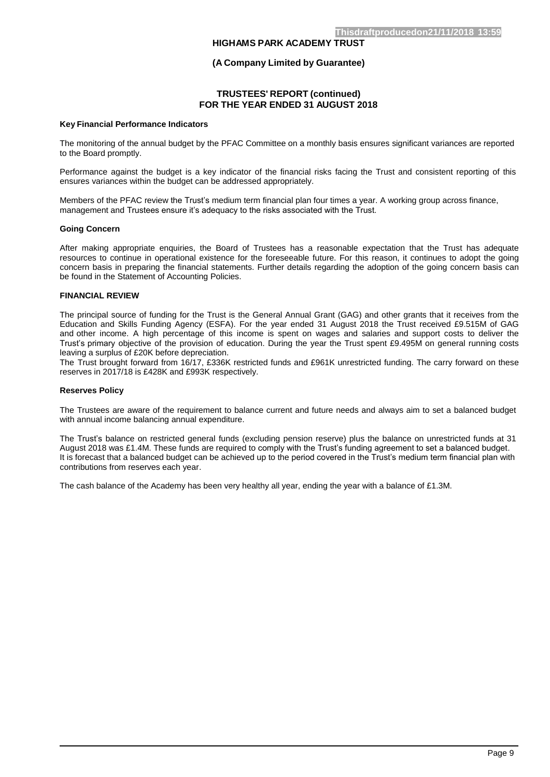#### **(A Company Limited by Guarantee)**

### **TRUSTEES' REPORT (continued) FOR THE YEAR ENDED 31 AUGUST 2018**

#### **Key Financial Performance Indicators**

The monitoring of the annual budget by the PFAC Committee on a monthly basis ensures significant variances are reported to the Board promptly.

Performance against the budget is a key indicator of the financial risks facing the Trust and consistent reporting of this ensures variances within the budget can be addressed appropriately.

Members of the PFAC review the Trust's medium term financial plan four times a year. A working group across finance, management and Trustees ensure it's adequacy to the risks associated with the Trust.

#### **Going Concern**

After making appropriate enquiries, the Board of Trustees has a reasonable expectation that the Trust has adequate resources to continue in operational existence for the foreseeable future. For this reason, it continues to adopt the going concern basis in preparing the financial statements. Further details regarding the adoption of the going concern basis can be found in the Statement of Accounting Policies.

#### **FINANCIAL REVIEW**

The principal source of funding for the Trust is the General Annual Grant (GAG) and other grants that it receives from the Education and Skills Funding Agency (ESFA). For the year ended 31 August 2018 the Trust received £9.515M of GAG and other income. A high percentage of this income is spent on wages and salaries and support costs to deliver the Trust's primary objective of the provision of education. During the year the Trust spent £9.495M on general running costs leaving a surplus of £20K before depreciation.

The Trust brought forward from 16/17, £336K restricted funds and £961K unrestricted funding. The carry forward on these reserves in 2017/18 is £428K and £993K respectively.

#### **Reserves Policy**

The Trustees are aware of the requirement to balance current and future needs and always aim to set a balanced budget with annual income balancing annual expenditure.

The Trust's balance on restricted general funds (excluding pension reserve) plus the balance on unrestricted funds at 31 August 2018 was £1.4M. These funds are required to comply with the Trust's funding agreement to set a balanced budget. It is forecast that a balanced budget can be achieved up to the period covered in the Trust's medium term financial plan with contributions from reserves each year.

The cash balance of the Academy has been very healthy all year, ending the year with a balance of £1.3M.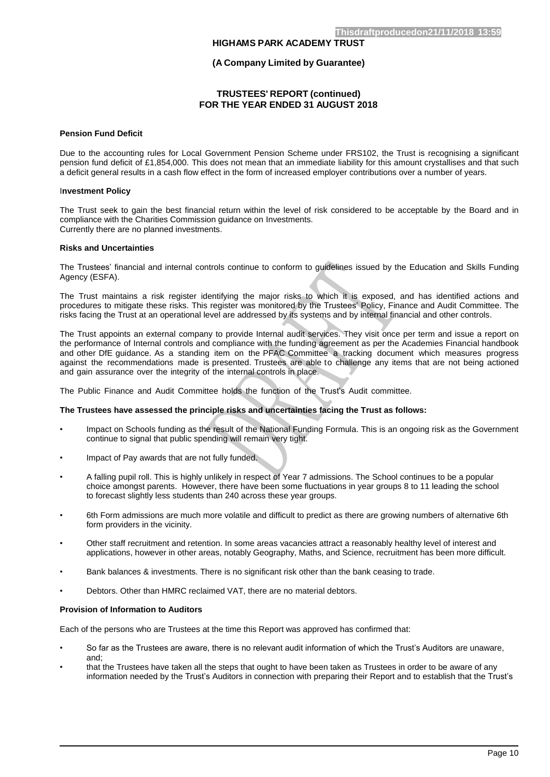#### **(A Company Limited by Guarantee)**

### **TRUSTEES' REPORT (continued) FOR THE YEAR ENDED 31 AUGUST 2018**

### **Pension Fund Deficit**

Due to the accounting rules for Local Government Pension Scheme under FRS102, the Trust is recognising a significant pension fund deficit of £1,854,000. This does not mean that an immediate liability for this amount crystallises and that such a deficit general results in a cash flow effect in the form of increased employer contributions over a number of years.

#### I**nvestment Policy**

The Trust seek to gain the best financial return within the level of risk considered to be acceptable by the Board and in compliance with the Charities Commission guidance on Investments. Currently there are no planned investments.

#### **Risks and Uncertainties**

The Trustees' financial and internal controls continue to conform to guidelines issued by the Education and Skills Funding Agency (ESFA).

The Trust maintains a risk register identifying the major risks to which it is exposed, and has identified actions and procedures to mitigate these risks. This register was monitored by the Trustees' Policy, Finance and Audit Committee. The risks facing the Trust at an operational level are addressed by its systems and by internal financial and other controls.

The Trust appoints an external company to provide Internal audit services. They visit once per term and issue a report on the performance of Internal controls and compliance with the funding agreement as per the Academies Financial handbook and other DfE guidance. As a standing item on the PFAC Committee a tracking document which measures progress against the recommendations made is presented. Trustees are able to challenge any items that are not being actioned and gain assurance over the integrity of the internal controls in place.

The Public Finance and Audit Committee holds the function of the Trust's Audit committee.

#### **The Trustees have assessed the principle risks and uncertainties facing the Trust as follows:**

- Impact on Schools funding as the result of the National Funding Formula. This is an ongoing risk as the Government continue to signal that public spending will remain very tight.
- Impact of Pay awards that are not fully funded.
- A falling pupil roll. This is highly unlikely in respect of Year 7 admissions. The School continues to be a popular choice amongst parents. However, there have been some fluctuations in year groups 8 to 11 leading the school to forecast slightly less students than 240 across these year groups.
- 6th Form admissions are much more volatile and difficult to predict as there are growing numbers of alternative 6th form providers in the vicinity.
- Other staff recruitment and retention. In some areas vacancies attract a reasonably healthy level of interest and applications, however in other areas, notably Geography, Maths, and Science, recruitment has been more difficult.
- Bank balances & investments. There is no significant risk other than the bank ceasing to trade.
- Debtors. Other than HMRC reclaimed VAT, there are no material debtors.

#### **Provision of Information to Auditors**

Each of the persons who are Trustees at the time this Report was approved has confirmed that:

- So far as the Trustees are aware, there is no relevant audit information of which the Trust's Auditors are unaware, and;
- that the Trustees have taken all the steps that ought to have been taken as Trustees in order to be aware of any information needed by the Trust's Auditors in connection with preparing their Report and to establish that the Trust's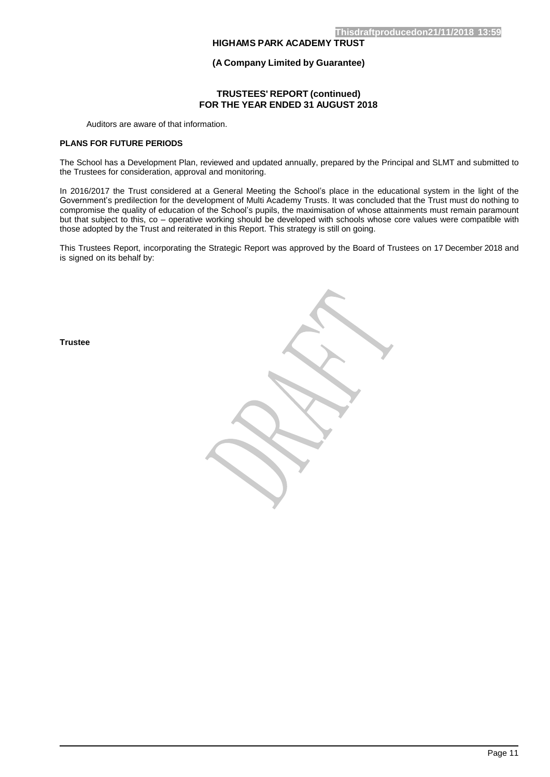#### **(A Company Limited by Guarantee)**

### **TRUSTEES' REPORT (continued) FOR THE YEAR ENDED 31 AUGUST 2018**

Auditors are aware of that information.

#### **PLANS FOR FUTURE PERIODS**

The School has a Development Plan, reviewed and updated annually, prepared by the Principal and SLMT and submitted to the Trustees for consideration, approval and monitoring.

In 2016/2017 the Trust considered at a General Meeting the School's place in the educational system in the light of the Government's predilection for the development of Multi Academy Trusts. It was concluded that the Trust must do nothing to compromise the quality of education of the School's pupils, the maximisation of whose attainments must remain paramount but that subject to this, co – operative working should be developed with schools whose core values were compatible with those adopted by the Trust and reiterated in this Report. This strategy is still on going.

This Trustees Report, incorporating the Strategic Report was approved by the Board of Trustees on 17 December 2018 and is signed on its behalf by:

**Trustee**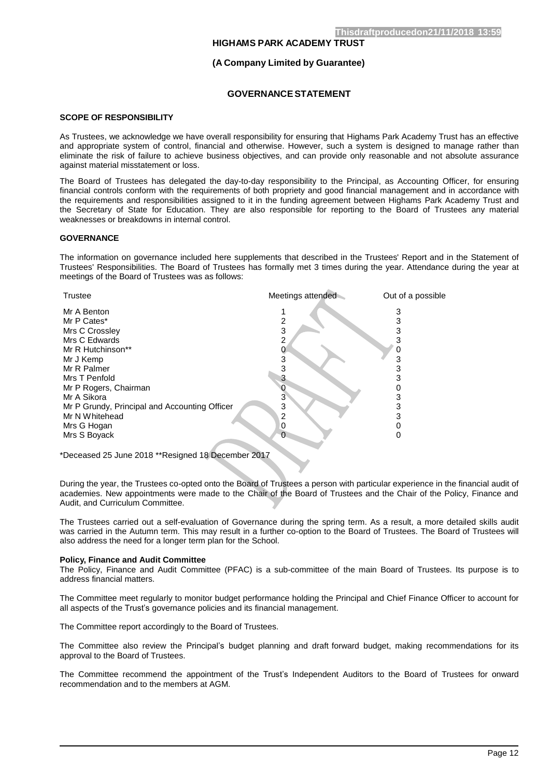#### **(A Company Limited by Guarantee)**

### **GOVERNANCESTATEMENT**

### <span id="page-12-0"></span>**SCOPE OF RESPONSIBILITY**

As Trustees, we acknowledge we have overall responsibility for ensuring that Highams Park Academy Trust has an effective and appropriate system of control, financial and otherwise. However, such a system is designed to manage rather than eliminate the risk of failure to achieve business objectives, and can provide only reasonable and not absolute assurance against material misstatement or loss.

The Board of Trustees has delegated the day-to-day responsibility to the Principal, as Accounting Officer, for ensuring financial controls conform with the requirements of both propriety and good financial management and in accordance with the requirements and responsibilities assigned to it in the funding agreement between Highams Park Academy Trust and the Secretary of State for Education. They are also responsible for reporting to the Board of Trustees any material weaknesses or breakdowns in internal control.

#### **GOVERNANCE**

The information on governance included here supplements that described in the Trustees' Report and in the Statement of Trustees' Responsibilities. The Board of Trustees has formally met 3 times during the year. Attendance during the year at meetings of the Board of Trustees was as follows:

| <b>Trustee</b>                                | Meetings attended | Out of a possible |
|-----------------------------------------------|-------------------|-------------------|
| Mr A Benton                                   |                   |                   |
| Mr P Cates*                                   |                   |                   |
| Mrs C Crossley                                |                   |                   |
| Mrs C Edwards                                 |                   |                   |
| Mr R Hutchinson**                             |                   |                   |
| Mr J Kemp                                     |                   |                   |
| Mr R Palmer                                   |                   |                   |
| Mrs T Penfold                                 |                   |                   |
| Mr P Rogers, Chairman                         |                   |                   |
| Mr A Sikora                                   |                   |                   |
| Mr P Grundy, Principal and Accounting Officer | 3                 |                   |
| Mr N Whitehead                                | 2                 |                   |
| Mrs G Hogan                                   |                   |                   |
| Mrs S Boyack                                  | 0                 |                   |
|                                               |                   |                   |

\*Deceased 25 June 2018 \*\*Resigned 18 December 2017

During the year, the Trustees co-opted onto the Board of Trustees a person with particular experience in the financial audit of academies. New appointments were made to the Chair of the Board of Trustees and the Chair of the Policy, Finance and Audit, and Curriculum Committee.

The Trustees carried out a self-evaluation of Governance during the spring term. As a result, a more detailed skills audit was carried in the Autumn term. This may result in a further co-option to the Board of Trustees. The Board of Trustees will also address the need for a longer term plan for the School.

#### **Policy, Finance and Audit Committee**

The Policy, Finance and Audit Committee (PFAC) is a sub-committee of the main Board of Trustees. Its purpose is to address financial matters.

The Committee meet regularly to monitor budget performance holding the Principal and Chief Finance Officer to account for all aspects of the Trust's governance policies and its financial management.

The Committee report accordingly to the Board of Trustees.

The Committee also review the Principal's budget planning and draft forward budget, making recommendations for its approval to the Board of Trustees.

The Committee recommend the appointment of the Trust's Independent Auditors to the Board of Trustees for onward recommendation and to the members at AGM.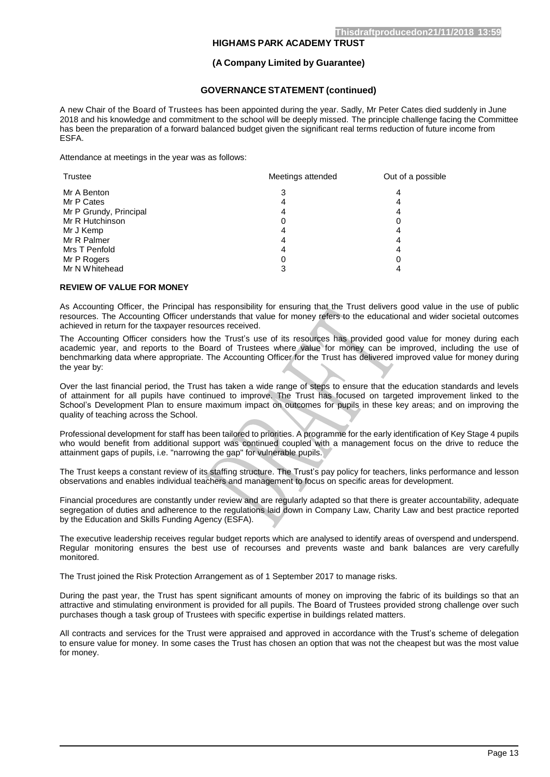#### **(A Company Limited by Guarantee)**

#### **GOVERNANCE STATEMENT (continued)**

A new Chair of the Board of Trustees has been appointed during the year. Sadly, Mr Peter Cates died suddenly in June 2018 and his knowledge and commitment to the school will be deeply missed. The principle challenge facing the Committee has been the preparation of a forward balanced budget given the significant real terms reduction of future income from ESFA.

Attendance at meetings in the year was as follows:

| <b>Trustee</b>         | Meetings attended | Out of a possible |  |
|------------------------|-------------------|-------------------|--|
| Mr A Benton            | 3                 |                   |  |
| Mr P Cates             | 4                 |                   |  |
| Mr P Grundy, Principal | 4                 | 4                 |  |
| Mr R Hutchinson        |                   |                   |  |
| Mr J Kemp              | 4                 |                   |  |
| Mr R Palmer            | 4                 |                   |  |
| Mrs T Penfold          | 4                 |                   |  |
| Mr P Rogers            |                   |                   |  |
| Mr N Whitehead         |                   |                   |  |

#### **REVIEW OF VALUE FOR MONEY**

As Accounting Officer, the Principal has responsibility for ensuring that the Trust delivers good value in the use of public resources. The Accounting Officer understands that value for money refers to the educational and wider societal outcomes achieved in return for the taxpayer resources received.

The Accounting Officer considers how the Trust's use of its resources has provided good value for money during each academic year, and reports to the Board of Trustees where value for money can be improved, including the use of benchmarking data where appropriate. The Accounting Officer for the Trust has delivered improved value for money during the year by:

Over the last financial period, the Trust has taken a wide range of steps to ensure that the education standards and levels of attainment for all pupils have continued to improve. The Trust has focused on targeted improvement linked to the School's Development Plan to ensure maximum impact on outcomes for pupils in these key areas; and on improving the quality of teaching across the School.

Professional development for staff has been tailored to priorities. A programme for the early identification of Key Stage 4 pupils who would benefit from additional support was continued coupled with a management focus on the drive to reduce the attainment gaps of pupils, i.e. "narrowing the gap" for vulnerable pupils.

The Trust keeps a constant review of its staffing structure. The Trust's pay policy for teachers, links performance and lesson observations and enables individual teachers and management to focus on specific areas for development.

Financial procedures are constantly under review and are regularly adapted so that there is greater accountability, adequate segregation of duties and adherence to the regulations laid down in Company Law, Charity Law and best practice reported by the Education and Skills Funding Agency (ESFA).

The executive leadership receives regular budget reports which are analysed to identify areas of overspend and underspend. Regular monitoring ensures the best use of recourses and prevents waste and bank balances are very carefully monitored.

The Trust joined the Risk Protection Arrangement as of 1 September 2017 to manage risks.

During the past year, the Trust has spent significant amounts of money on improving the fabric of its buildings so that an attractive and stimulating environment is provided for all pupils. The Board of Trustees provided strong challenge over such purchases though a task group of Trustees with specific expertise in buildings related matters.

All contracts and services for the Trust were appraised and approved in accordance with the Trust's scheme of delegation to ensure value for money. In some cases the Trust has chosen an option that was not the cheapest but was the most value for money.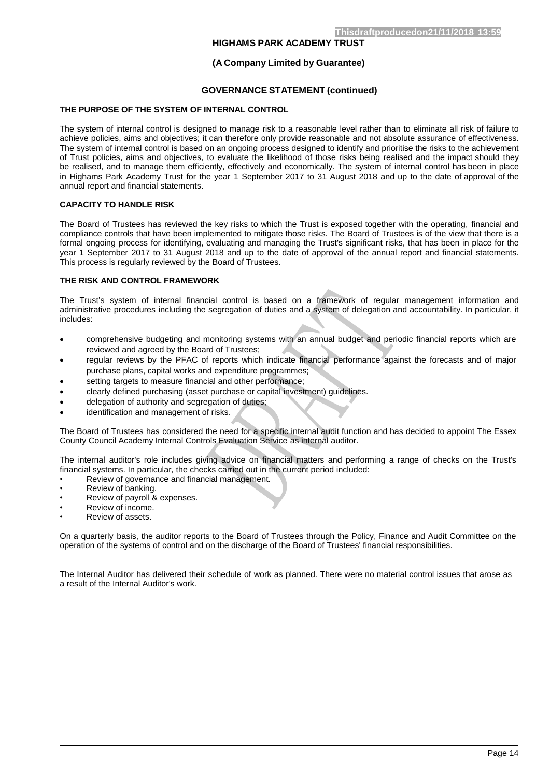### **(A Company Limited by Guarantee)**

### **GOVERNANCE STATEMENT (continued)**

#### **THE PURPOSE OF THE SYSTEM OF INTERNAL CONTROL**

The system of internal control is designed to manage risk to a reasonable level rather than to eliminate all risk of failure to achieve policies, aims and objectives; it can therefore only provide reasonable and not absolute assurance of effectiveness. The system of internal control is based on an ongoing process designed to identify and prioritise the risks to the achievement of Trust policies, aims and objectives, to evaluate the likelihood of those risks being realised and the impact should they be realised, and to manage them efficiently, effectively and economically. The system of internal control has been in place in Highams Park Academy Trust for the year 1 September 2017 to 31 August 2018 and up to the date of approval of the annual report and financial statements.

#### **CAPACITY TO HANDLE RISK**

The Board of Trustees has reviewed the key risks to which the Trust is exposed together with the operating, financial and compliance controls that have been implemented to mitigate those risks. The Board of Trustees is of the view that there is a formal ongoing process for identifying, evaluating and managing the Trust's significant risks, that has been in place for the year 1 September 2017 to 31 August 2018 and up to the date of approval of the annual report and financial statements. This process is regularly reviewed by the Board of Trustees.

#### **THE RISK AND CONTROL FRAMEWORK**

The Trust's system of internal financial control is based on a framework of regular management information and administrative procedures including the segregation of duties and a system of delegation and accountability. In particular, it includes:

- comprehensive budgeting and monitoring systems with an annual budget and periodic financial reports which are reviewed and agreed by the Board of Trustees;
- regular reviews by the PFAC of reports which indicate financial performance against the forecasts and of major purchase plans, capital works and expenditure programmes;
- setting targets to measure financial and other performance:
- clearly defined purchasing (asset purchase or capital investment) guidelines.
- delegation of authority and segregation of duties;
- identification and management of risks.

The Board of Trustees has considered the need for a specific internal audit function and has decided to appoint The Essex County Council Academy Internal Controls Evaluation Service as internal auditor.

The internal auditor's role includes giving advice on financial matters and performing a range of checks on the Trust's financial systems. In particular, the checks carried out in the current period included:

- Review of governance and financial management.
- Review of banking.
- Review of payroll & expenses.
- Review of income.
- Review of assets.

On a quarterly basis, the auditor reports to the Board of Trustees through the Policy, Finance and Audit Committee on the operation of the systems of control and on the discharge of the Board of Trustees' financial responsibilities.

The Internal Auditor has delivered their schedule of work as planned. There were no material control issues that arose as a result of the Internal Auditor's work.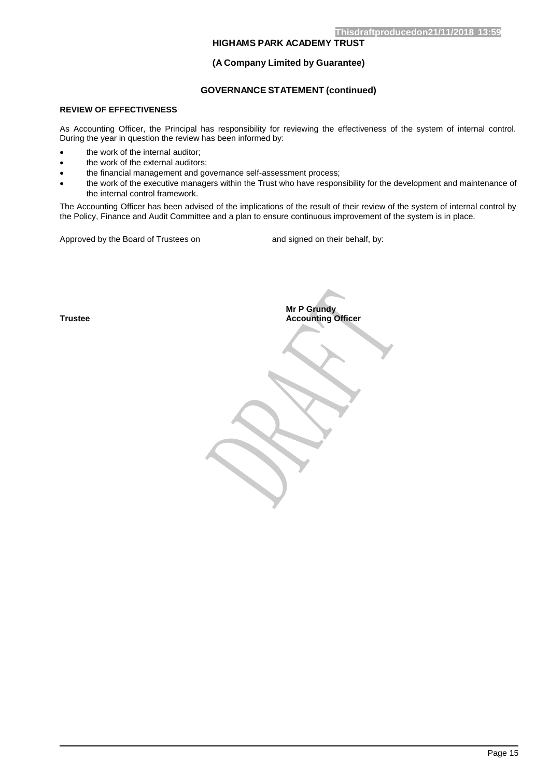## **(A Company Limited by Guarantee)**

# **GOVERNANCE STATEMENT (continued)**

### **REVIEW OF EFFECTIVENESS**

As Accounting Officer, the Principal has responsibility for reviewing the effectiveness of the system of internal control. During the year in question the review has been informed by:

- the work of the internal auditor;
- the work of the external auditors;
- the financial management and governance self-assessment process;
- the work of the executive managers within the Trust who have responsibility for the development and maintenance of the internal control framework.

The Accounting Officer has been advised of the implications of the result of their review of the system of internal control by the Policy, Finance and Audit Committee and a plan to ensure continuous improvement of the system is in place.

Approved by the Board of Trustees on and signed on their behalf, by:

**Trustee**

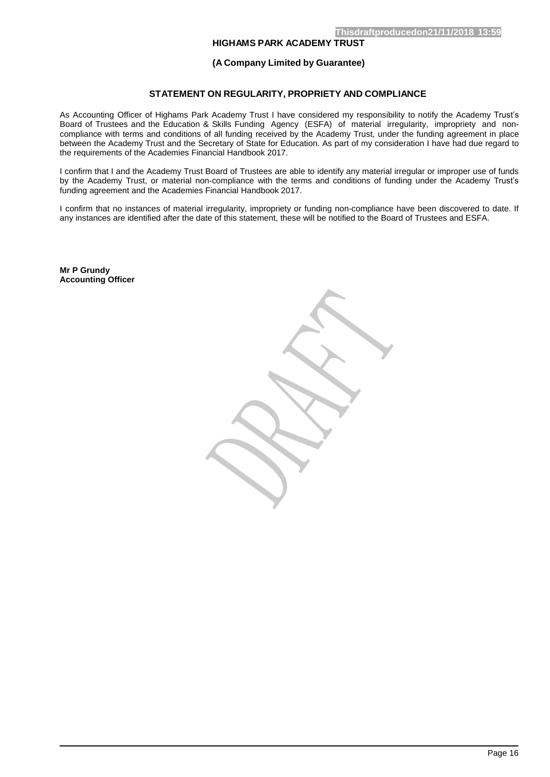### **(A Company Limited by Guarantee)**

## **STATEMENT ON REGULARITY, PROPRIETY AND COMPLIANCE**

<span id="page-16-0"></span>As Accounting Officer of Highams Park Academy Trust I have considered my responsibility to notify the Academy Trust's Board of Trustees and the Education & Skills Funding Agency (ESFA) of material irregularity, impropriety and noncompliance with terms and conditions of all funding received by the Academy Trust, under the funding agreement in place between the Academy Trust and the Secretary of State for Education. As part of my consideration I have had due regard to the requirements of the Academies Financial Handbook 2017.

I confirm that I and the Academy Trust Board of Trustees are able to identify any material irregular or improper use of funds by the Academy Trust, or material non-compliance with the terms and conditions of funding under the Academy Trust's funding agreement and the Academies Financial Handbook 2017.

I confirm that no instances of material irregularity, impropriety or funding non-compliance have been discovered to date. If any instances are identified after the date of this statement, these will be notified to the Board of Trustees and ESFA.

**Mr P Grundy Accounting Officer**

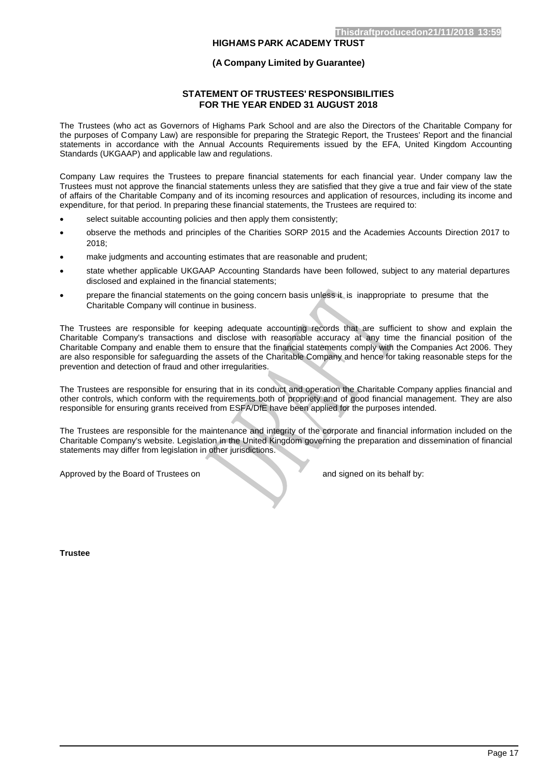### **(A Company Limited by Guarantee)**

### **STATEMENT OF TRUSTEES' RESPONSIBILITIES FOR THE YEAR ENDED 31 AUGUST 2018**

The Trustees (who act as Governors of Highams Park School and are also the Directors of the Charitable Company for the purposes of Company Law) are responsible for preparing the Strategic Report, the Trustees' Report and the financial statements in accordance with the Annual Accounts Requirements issued by the EFA, United Kingdom Accounting Standards (UKGAAP) and applicable law and regulations.

Company Law requires the Trustees to prepare financial statements for each financial year. Under company law the Trustees must not approve the financial statements unless they are satisfied that they give a true and fair view of the state of affairs of the Charitable Company and of its incoming resources and application of resources, including its income and expenditure, for that period. In preparing these financial statements, the Trustees are required to:

- select suitable accounting policies and then apply them consistently;
- observe the methods and principles of the Charities SORP 2015 and the Academies Accounts Direction 2017 to 2018;
- make judgments and accounting estimates that are reasonable and prudent;
- state whether applicable UKGAAP Accounting Standards have been followed, subject to any material departures disclosed and explained in the financial statements;
- prepare the financial statements on the going concern basis unless it is inappropriate to presume that the Charitable Company will continue in business.

The Trustees are responsible for keeping adequate accounting records that are sufficient to show and explain the Charitable Company's transactions and disclose with reasonable accuracy at any time the financial position of the Charitable Company and enable them to ensure that the financial statements comply with the Companies Act 2006. They are also responsible for safeguarding the assets of the Charitable Company and hence for taking reasonable steps for the prevention and detection of fraud and other irregularities.

The Trustees are responsible for ensuring that in its conduct and operation the Charitable Company applies financial and other controls, which conform with the requirements both of propriety and of good financial management. They are also responsible for ensuring grants received from ESFA/DfE have been applied for the purposes intended.

The Trustees are responsible for the maintenance and integrity of the corporate and financial information included on the Charitable Company's website. Legislation in the United Kingdom governing the preparation and dissemination of financial statements may differ from legislation in other jurisdictions.

Approved by the Board of Trustees on and signed on its behalf by:

**Trustee**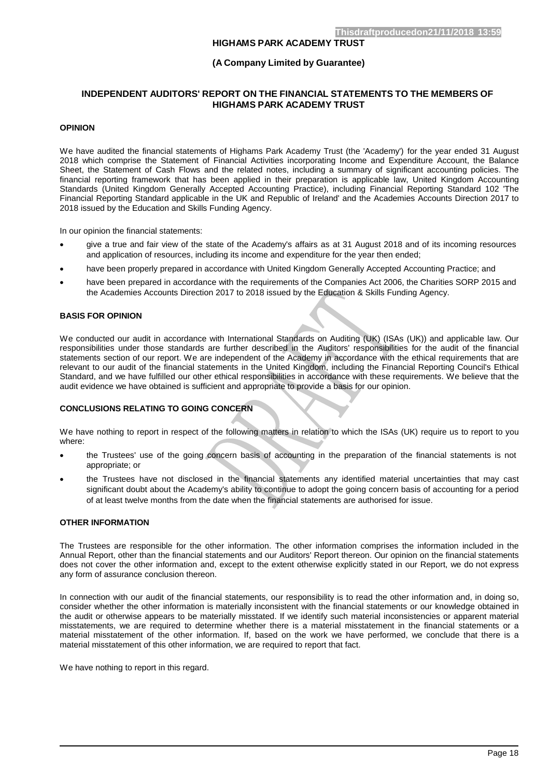#### **(A Company Limited by Guarantee)**

### **INDEPENDENT AUDITORS' REPORT ON THE FINANCIAL STATEMENTS TO THE MEMBERS OF HIGHAMS PARK ACADEMY TRUST**

#### **OPINION**

We have audited the financial statements of Highams Park Academy Trust (the 'Academy') for the year ended 31 August 2018 which comprise the Statement of Financial Activities incorporating Income and Expenditure Account, the Balance Sheet, the Statement of Cash Flows and the related notes, including a summary of significant accounting policies. The financial reporting framework that has been applied in their preparation is applicable law, United Kingdom Accounting Standards (United Kingdom Generally Accepted Accounting Practice), including Financial Reporting Standard 102 'The Financial Reporting Standard applicable in the UK and Republic of Ireland' and the Academies Accounts Direction 2017 to 2018 issued by the Education and Skills Funding Agency.

In our opinion the financial statements:

- give a true and fair view of the state of the Academy's affairs as at 31 August 2018 and of its incoming resources and application of resources, including its income and expenditure for the year then ended;
- have been properly prepared in accordance with United Kingdom Generally Accepted Accounting Practice; and
- have been prepared in accordance with the requirements of the Companies Act 2006, the Charities SORP 2015 and the Academies Accounts Direction 2017 to 2018 issued by the Education & Skills Funding Agency.

#### **BASIS FOR OPINION**

We conducted our audit in accordance with International Standards on Auditing (UK) (ISAs (UK)) and applicable law. Our responsibilities under those standards are further described in the Auditors' responsibilities for the audit of the financial statements section of our report. We are independent of the Academy in accordance with the ethical requirements that are relevant to our audit of the financial statements in the United Kingdom, including the Financial Reporting Council's Ethical Standard, and we have fulfilled our other ethical responsibilities in accordance with these requirements. We believe that the audit evidence we have obtained is sufficient and appropriate to provide a basis for our opinion.

#### **CONCLUSIONS RELATING TO GOING CONCERN**

We have nothing to report in respect of the following matters in relation to which the ISAs (UK) require us to report to you where:

- the Trustees' use of the going concern basis of accounting in the preparation of the financial statements is not appropriate; or
- the Trustees have not disclosed in the financial statements any identified material uncertainties that may cast significant doubt about the Academy's ability to continue to adopt the going concern basis of accounting for a period of at least twelve months from the date when the financial statements are authorised for issue.

#### **OTHER INFORMATION**

The Trustees are responsible for the other information. The other information comprises the information included in the Annual Report, other than the financial statements and our Auditors' Report thereon. Our opinion on the financial statements does not cover the other information and, except to the extent otherwise explicitly stated in our Report, we do not express any form of assurance conclusion thereon.

In connection with our audit of the financial statements, our responsibility is to read the other information and, in doing so, consider whether the other information is materially inconsistent with the financial statements or our knowledge obtained in the audit or otherwise appears to be materially misstated. If we identify such material inconsistencies or apparent material misstatements, we are required to determine whether there is a material misstatement in the financial statements or a material misstatement of the other information. If, based on the work we have performed, we conclude that there is a material misstatement of this other information, we are required to report that fact.

We have nothing to report in this regard.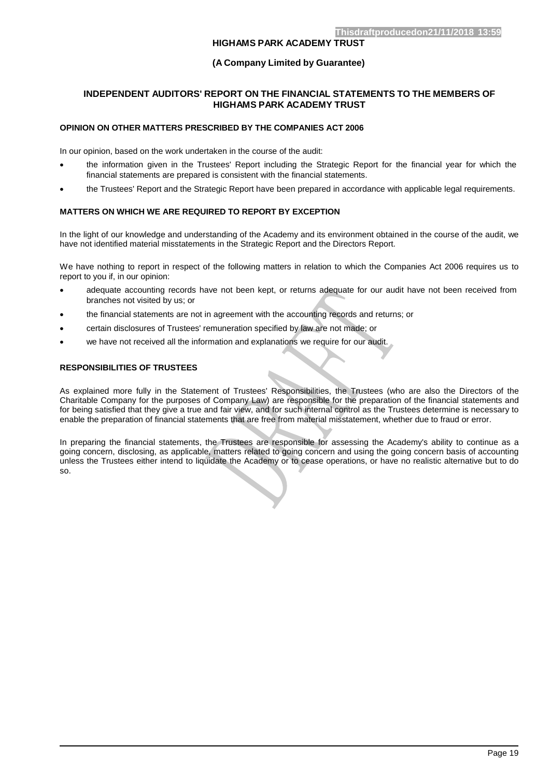### **(A Company Limited by Guarantee)**

### **INDEPENDENT AUDITORS' REPORT ON THE FINANCIAL STATEMENTS TO THE MEMBERS OF HIGHAMS PARK ACADEMY TRUST**

## **OPINION ON OTHER MATTERS PRESCRIBED BY THE COMPANIES ACT 2006**

In our opinion, based on the work undertaken in the course of the audit:

- the information given in the Trustees' Report including the Strategic Report for the financial year for which the financial statements are prepared is consistent with the financial statements.
- the Trustees' Report and the Strategic Report have been prepared in accordance with applicable legal requirements.

#### **MATTERS ON WHICH WE ARE REQUIRED TO REPORT BY EXCEPTION**

In the light of our knowledge and understanding of the Academy and its environment obtained in the course of the audit, we have not identified material misstatements in the Strategic Report and the Directors Report.

We have nothing to report in respect of the following matters in relation to which the Companies Act 2006 requires us to report to you if, in our opinion:

- adequate accounting records have not been kept, or returns adequate for our audit have not been received from branches not visited by us; or
- the financial statements are not in agreement with the accounting records and returns; or
- certain disclosures of Trustees' remuneration specified by law are not made; or
- we have not received all the information and explanations we require for our audit.

#### **RESPONSIBILITIES OF TRUSTEES**

As explained more fully in the Statement of Trustees' Responsibilities, the Trustees (who are also the Directors of the Charitable Company for the purposes of Company Law) are responsible for the preparation of the financial statements and for being satisfied that they give a true and fair view, and for such internal control as the Trustees determine is necessary to enable the preparation of financial statements that are free from material misstatement, whether due to fraud or error.

In preparing the financial statements, the Trustees are responsible for assessing the Academy's ability to continue as a going concern, disclosing, as applicable, matters related to going concern and using the going concern basis of accounting unless the Trustees either intend to liquidate the Academy or to cease operations, or have no realistic alternative but to do so.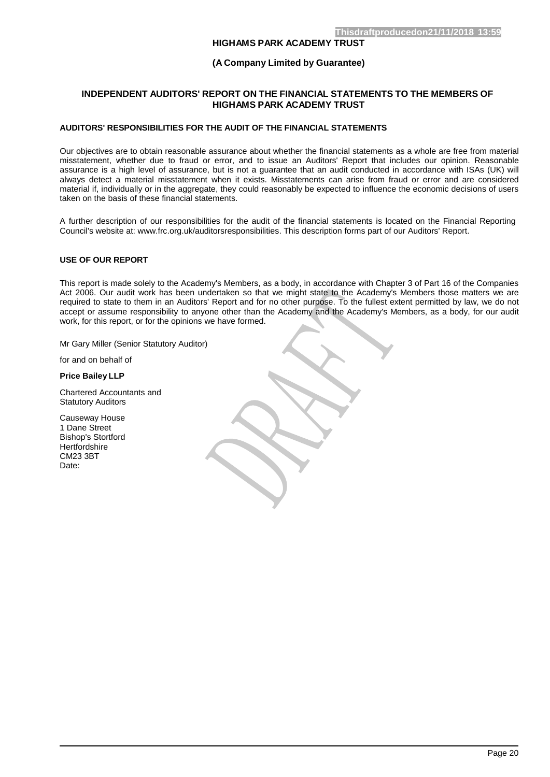### **(A Company Limited by Guarantee)**

# **INDEPENDENT AUDITORS' REPORT ON THE FINANCIAL STATEMENTS TO THE MEMBERS OF HIGHAMS PARK ACADEMY TRUST**

## **AUDITORS' RESPONSIBILITIES FOR THE AUDIT OF THE FINANCIAL STATEMENTS**

Our objectives are to obtain reasonable assurance about whether the financial statements as a whole are free from material misstatement, whether due to fraud or error, and to issue an Auditors' Report that includes our opinion. Reasonable assurance is a high level of assurance, but is not a guarantee that an audit conducted in accordance with ISAs (UK) will always detect a material misstatement when it exists. Misstatements can arise from fraud or error and are considered material if, individually or in the aggregate, they could reasonably be expected to influence the economic decisions of users taken on the basis of these financial statements.

A further description of our responsibilities for the audit of the financial statements is located on the Financial Reporting Council's website at: [www.frc.org.uk/auditorsresponsibilities.](http://www.frc.org.uk/auditorsresponsibilities) This description forms part of our Auditors' Report.

### **USE OF OUR REPORT**

This report is made solely to the Academy's Members, as a body, in accordance with Chapter 3 of Part 16 of the Companies Act 2006. Our audit work has been undertaken so that we might state to the Academy's Members those matters we are required to state to them in an Auditors' Report and for no other purpose. To the fullest extent permitted by law, we do not accept or assume responsibility to anyone other than the Academy and the Academy's Members, as a body, for our audit work, for this report, or for the opinions we have formed.

Mr Gary Miller (Senior Statutory Auditor)

for and on behalf of

#### **Price Bailey LLP**

Chartered Accountants and Statutory Auditors

Causeway House 1 Dane Street Bishop's Stortford **Hertfordshire** CM23 3BT Date: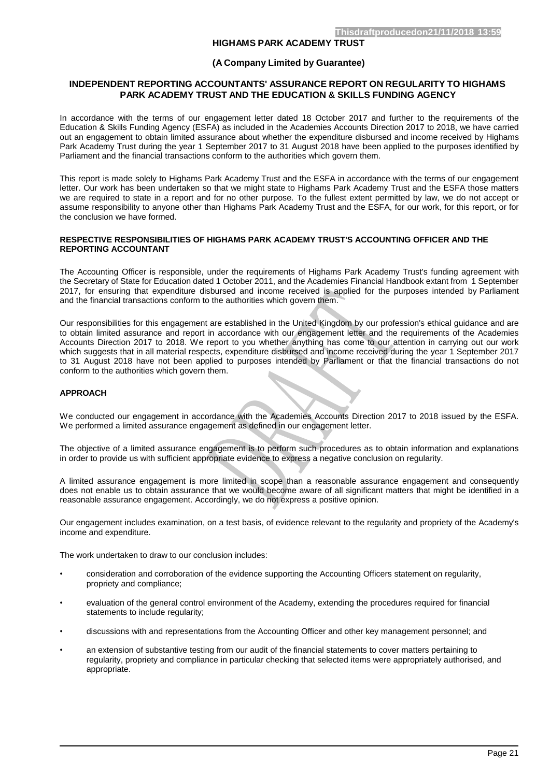#### **(A Company Limited by Guarantee)**

### **INDEPENDENT REPORTING ACCOUNTANTS' ASSURANCE REPORT ON REGULARITY TO HIGHAMS PARK ACADEMY TRUST AND THE EDUCATION & SKILLS FUNDING AGENCY**

In accordance with the terms of our engagement letter dated 18 October 2017 and further to the requirements of the Education & Skills Funding Agency (ESFA) as included in the Academies Accounts Direction 2017 to 2018, we have carried out an engagement to obtain limited assurance about whether the expenditure disbursed and income received by Highams Park Academy Trust during the year 1 September 2017 to 31 August 2018 have been applied to the purposes identified by Parliament and the financial transactions conform to the authorities which govern them.

This report is made solely to Highams Park Academy Trust and the ESFA in accordance with the terms of our engagement letter. Our work has been undertaken so that we might state to Highams Park Academy Trust and the ESFA those matters we are required to state in a report and for no other purpose. To the fullest extent permitted by law, we do not accept or assume responsibility to anyone other than Highams Park Academy Trust and the ESFA, for our work, for this report, or for the conclusion we have formed.

### **RESPECTIVE RESPONSIBILITIES OF HIGHAMS PARK ACADEMY TRUST'S ACCOUNTING OFFICER AND THE REPORTING ACCOUNTANT**

The Accounting Officer is responsible, under the requirements of Highams Park Academy Trust's funding agreement with the Secretary of State for Education dated 1 October 2011, and the Academies Financial Handbook extant from 1 September 2017, for ensuring that expenditure disbursed and income received is applied for the purposes intended by Parliament and the financial transactions conform to the authorities which govern them.

Our responsibilities for this engagement are established in the United Kingdom by our profession's ethical guidance and are to obtain limited assurance and report in accordance with our engagement letter and the requirements of the Academies Accounts Direction 2017 to 2018. We report to you whether anything has come to our attention in carrying out our work which suggests that in all material respects, expenditure disbursed and income received during the year 1 September 2017 to 31 August 2018 have not been applied to purposes intended by Parliament or that the financial transactions do not conform to the authorities which govern them.

#### **APPROACH**

We conducted our engagement in accordance with the Academies Accounts Direction 2017 to 2018 issued by the ESFA. We performed a limited assurance engagement as defined in our engagement letter.

The objective of a limited assurance engagement is to perform such procedures as to obtain information and explanations in order to provide us with sufficient appropriate evidence to express a negative conclusion on regularity.

A limited assurance engagement is more limited in scope than a reasonable assurance engagement and consequently does not enable us to obtain assurance that we would become aware of all significant matters that might be identified in a reasonable assurance engagement. Accordingly, we do not express a positive opinion.

Our engagement includes examination, on a test basis, of evidence relevant to the regularity and propriety of the Academy's income and expenditure.

The work undertaken to draw to our conclusion includes:

- consideration and corroboration of the evidence supporting the Accounting Officers statement on regularity, propriety and compliance;
- evaluation of the general control environment of the Academy, extending the procedures required for financial statements to include regularity;
- discussions with and representations from the Accounting Officer and other key management personnel; and
- an extension of substantive testing from our audit of the financial statements to cover matters pertaining to regularity, propriety and compliance in particular checking that selected items were appropriately authorised, and appropriate.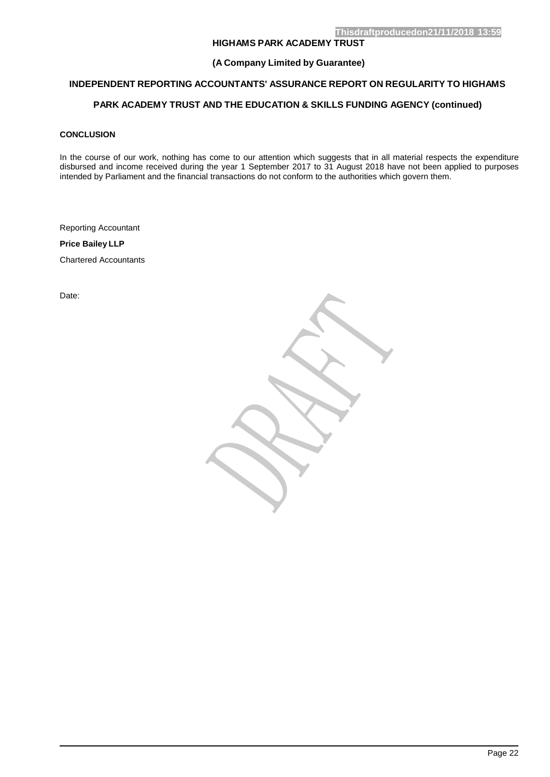## **(A Company Limited by Guarantee)**

# **INDEPENDENT REPORTING ACCOUNTANTS' ASSURANCE REPORT ON REGULARITY TO HIGHAMS**

# **PARK ACADEMY TRUST AND THE EDUCATION & SKILLS FUNDING AGENCY (continued)**

### **CONCLUSION**

In the course of our work, nothing has come to our attention which suggests that in all material respects the expenditure disbursed and income received during the year 1 September 2017 to 31 August 2018 have not been applied to purposes intended by Parliament and the financial transactions do not conform to the authorities which govern them.

Reporting Accountant

**Price Bailey LLP** 

Chartered Accountants

Date:

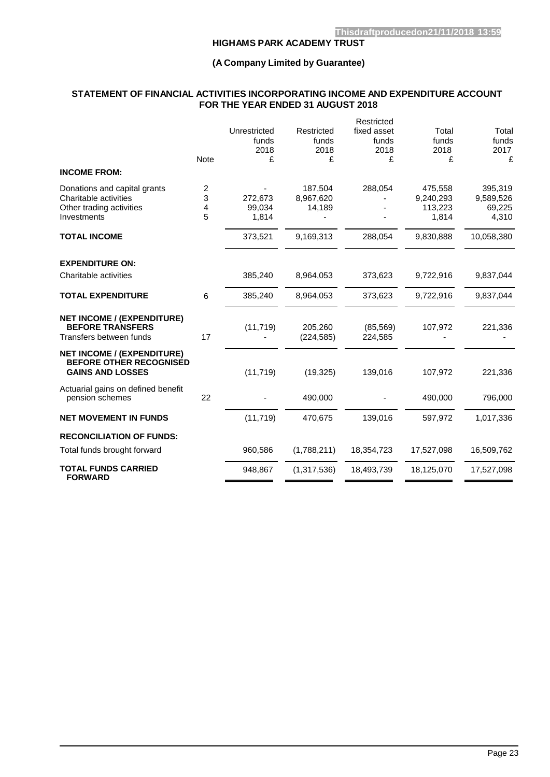# **(A Company Limited by Guarantee)**

## **STATEMENT OF FINANCIAL ACTIVITIES INCORPORATING INCOME AND EXPENDITURE ACCOUNT FOR THE YEAR ENDED 31 AUGUST 2018**

| <b>INCOME FROM:</b>                                                                              | <b>Note</b>      | Unrestricted<br>funds<br>2018<br>£ | Restricted<br>funds<br>2018<br>£ | Restricted<br>fixed asset<br>funds<br>2018<br>£ | Total<br>funds<br>2018<br>£              | Total<br>funds<br>2017<br>£             |
|--------------------------------------------------------------------------------------------------|------------------|------------------------------------|----------------------------------|-------------------------------------------------|------------------------------------------|-----------------------------------------|
| Donations and capital grants<br>Charitable activities<br>Other trading activities<br>Investments | 2<br>3<br>4<br>5 | 272.673<br>99.034<br>1,814         | 187,504<br>8,967,620<br>14,189   | 288,054                                         | 475,558<br>9,240,293<br>113.223<br>1,814 | 395,319<br>9,589,526<br>69,225<br>4,310 |
| <b>TOTAL INCOME</b>                                                                              |                  | 373,521                            | 9,169,313                        | 288,054                                         | 9,830,888                                | 10,058,380                              |
| <b>EXPENDITURE ON:</b><br>Charitable activities                                                  |                  | 385,240                            | 8,964,053                        | 373,623                                         | 9,722,916                                | 9,837,044                               |
| <b>TOTAL EXPENDITURE</b>                                                                         | 6                | 385,240                            | 8,964,053                        | 373,623                                         | 9,722,916                                | 9,837,044                               |
| <b>NET INCOME / (EXPENDITURE)</b><br><b>BEFORE TRANSFERS</b><br>Transfers between funds          | 17               | (11, 719)                          | 205,260<br>(224, 585)            | (85, 569)<br>224,585                            | 107,972                                  | 221,336                                 |
| <b>NET INCOME / (EXPENDITURE)</b><br><b>BEFORE OTHER RECOGNISED</b><br><b>GAINS AND LOSSES</b>   |                  | (11, 719)                          | (19, 325)                        | 139,016                                         | 107,972                                  | 221,336                                 |
| Actuarial gains on defined benefit<br>pension schemes                                            | 22               |                                    | 490,000                          |                                                 | 490,000                                  | 796,000                                 |
| <b>NET MOVEMENT IN FUNDS</b>                                                                     |                  | (11, 719)                          | 470,675                          | 139,016                                         | 597,972                                  | 1,017,336                               |
| <b>RECONCILIATION OF FUNDS:</b>                                                                  |                  |                                    |                                  |                                                 |                                          |                                         |
| Total funds brought forward                                                                      |                  | 960,586                            | (1,788,211)                      | 18,354,723                                      | 17,527,098                               | 16,509,762                              |
| <b>TOTAL FUNDS CARRIED</b><br><b>FORWARD</b>                                                     |                  | 948,867                            | (1,317,536)                      | 18,493,739                                      | 18,125,070                               | 17,527,098                              |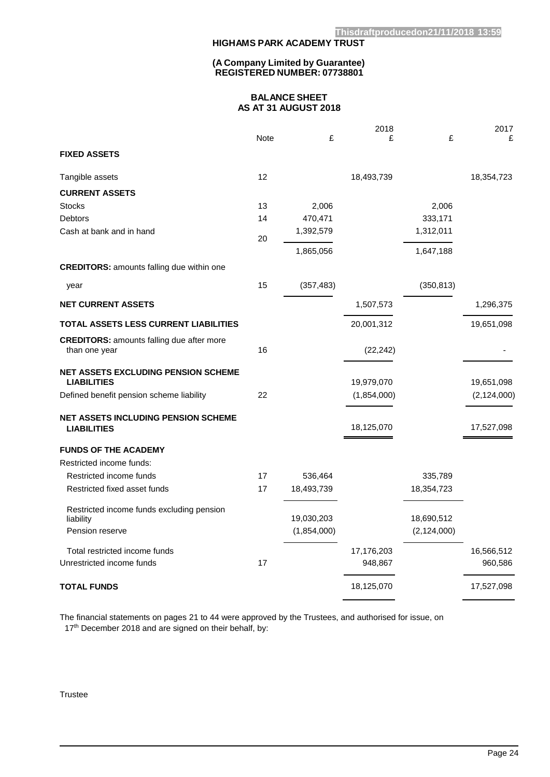### **(A Company Limited by Guarantee) REGISTERED NUMBER: 07738801**

## **BALANCE SHEET AS AT 31 AUGUST 2018**

<span id="page-24-0"></span>

|                                                                   | Note | £           | 2018<br>£             | £             | 2017<br>£             |
|-------------------------------------------------------------------|------|-------------|-----------------------|---------------|-----------------------|
| <b>FIXED ASSETS</b>                                               |      |             |                       |               |                       |
| Tangible assets                                                   | 12   |             | 18,493,739            |               | 18,354,723            |
| <b>CURRENT ASSETS</b>                                             |      |             |                       |               |                       |
| <b>Stocks</b>                                                     | 13   | 2,006       |                       | 2,006         |                       |
| <b>Debtors</b>                                                    | 14   | 470,471     |                       | 333,171       |                       |
| Cash at bank and in hand                                          | 20   | 1,392,579   |                       | 1,312,011     |                       |
|                                                                   |      | 1,865,056   |                       | 1,647,188     |                       |
| <b>CREDITORS: amounts falling due within one</b>                  |      |             |                       |               |                       |
| year                                                              | 15   | (357, 483)  |                       | (350, 813)    |                       |
| <b>NET CURRENT ASSETS</b>                                         |      |             | 1,507,573             |               | 1,296,375             |
| <b>TOTAL ASSETS LESS CURRENT LIABILITIES</b>                      |      |             | 20,001,312            |               | 19,651,098            |
| <b>CREDITORS:</b> amounts falling due after more<br>than one year | 16   |             | (22, 242)             |               |                       |
| <b>NET ASSETS EXCLUDING PENSION SCHEME</b><br><b>LIABILITIES</b>  |      |             | 19,979,070            |               | 19,651,098            |
| Defined benefit pension scheme liability                          | 22   |             | (1,854,000)           |               | (2, 124, 000)         |
| <b>NET ASSETS INCLUDING PENSION SCHEME</b><br><b>LIABILITIES</b>  |      |             | 18,125,070            |               | 17,527,098            |
| <b>FUNDS OF THE ACADEMY</b>                                       |      |             |                       |               |                       |
| Restricted income funds:                                          |      |             |                       |               |                       |
| Restricted income funds                                           | 17   | 536,464     |                       | 335,789       |                       |
| Restricted fixed asset funds                                      | 17   | 18,493,739  |                       | 18,354,723    |                       |
| Restricted income funds excluding pension<br>liability            |      | 19,030,203  |                       | 18,690,512    |                       |
| Pension reserve                                                   |      | (1,854,000) |                       | (2, 124, 000) |                       |
| Total restricted income funds<br>Unrestricted income funds        | 17   |             | 17,176,203<br>948,867 |               | 16,566,512<br>960,586 |
| <b>TOTAL FUNDS</b>                                                |      |             | 18,125,070            |               | 17,527,098            |

The financial statements on pages 21 to 44 were approved by the Trustees, and authorised for issue, on 17<sup>th</sup> December 2018 and are signed on their behalf, by:

### **Trustee**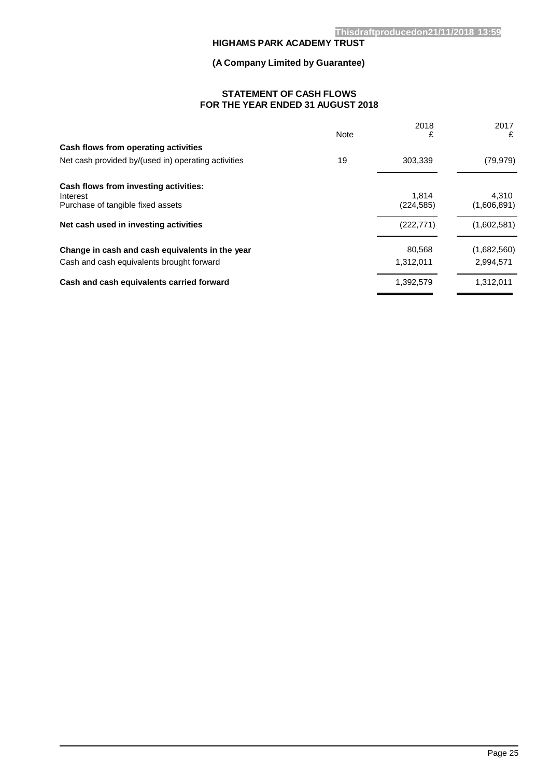# **(A Company Limited by Guarantee)**

# **STATEMENT OF CASH FLOWS FOR THE YEAR ENDED 31 AUGUST 2018**

<span id="page-25-0"></span>

|                                                     | Note | 2018<br>£           | 2017<br>£            |
|-----------------------------------------------------|------|---------------------|----------------------|
| Cash flows from operating activities                |      |                     |                      |
| Net cash provided by/(used in) operating activities | 19   | 303.339             | (79, 979)            |
| Cash flows from investing activities:               |      |                     |                      |
| Interest<br>Purchase of tangible fixed assets       |      | 1.814<br>(224, 585) | 4.310<br>(1,606,891) |
| Net cash used in investing activities               |      | (222, 771)          | (1,602,581)          |
| Change in cash and cash equivalents in the year     |      | 80,568              | (1,682,560)          |
| Cash and cash equivalents brought forward           |      | 1,312,011           | 2,994,571            |
| Cash and cash equivalents carried forward           |      | 1,392,579           | 1.312.011            |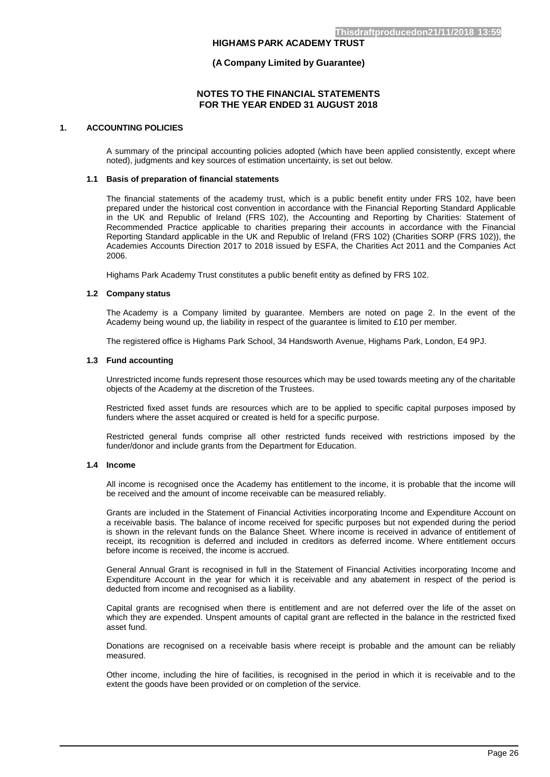#### **(A Company Limited by Guarantee)**

### **NOTES TO THE FINANCIAL STATEMENTS FOR THE YEAR ENDED 31 AUGUST 2018**

# **1. ACCOUNTING POLICIES**

A summary of the principal accounting policies adopted (which have been applied consistently, except where noted), judgments and key sources of estimation uncertainty, is set out below.

#### **1.1 Basis of preparation of financial statements**

The financial statements of the academy trust, which is a public benefit entity under FRS 102, have been prepared under the historical cost convention in accordance with the Financial Reporting Standard Applicable in the UK and Republic of Ireland (FRS 102), the Accounting and Reporting by Charities: Statement of Recommended Practice applicable to charities preparing their accounts in accordance with the Financial Reporting Standard applicable in the UK and Republic of Ireland (FRS 102) (Charities SORP (FRS 102)), the Academies Accounts Direction 2017 to 2018 issued by ESFA, the Charities Act 2011 and the Companies Act 2006.

Highams Park Academy Trust constitutes a public benefit entity as defined by FRS 102.

#### **1.2 Company status**

The Academy is a Company limited by guarantee. Members are noted on page 2. In the event of the Academy being wound up, the liability in respect of the guarantee is limited to £10 per member.

The registered office is Highams Park School, 34 Handsworth Avenue, Highams Park, London, E4 9PJ.

#### **1.3 Fund accounting**

Unrestricted income funds represent those resources which may be used towards meeting any of the charitable objects of the Academy at the discretion of the Trustees.

Restricted fixed asset funds are resources which are to be applied to specific capital purposes imposed by funders where the asset acquired or created is held for a specific purpose.

Restricted general funds comprise all other restricted funds received with restrictions imposed by the funder/donor and include grants from the Department for Education.

#### **1.4 Income**

All income is recognised once the Academy has entitlement to the income, it is probable that the income will be received and the amount of income receivable can be measured reliably.

Grants are included in the Statement of Financial Activities incorporating Income and Expenditure Account on a receivable basis. The balance of income received for specific purposes but not expended during the period is shown in the relevant funds on the Balance Sheet. Where income is received in advance of entitlement of receipt, its recognition is deferred and included in creditors as deferred income. Where entitlement occurs before income is received, the income is accrued.

General Annual Grant is recognised in full in the Statement of Financial Activities incorporating Income and Expenditure Account in the year for which it is receivable and any abatement in respect of the period is deducted from income and recognised as a liability.

Capital grants are recognised when there is entitlement and are not deferred over the life of the asset on which they are expended. Unspent amounts of capital grant are reflected in the balance in the restricted fixed asset fund.

Donations are recognised on a receivable basis where receipt is probable and the amount can be reliably measured.

Other income, including the hire of facilities, is recognised in the period in which it is receivable and to the extent the goods have been provided or on completion of the service.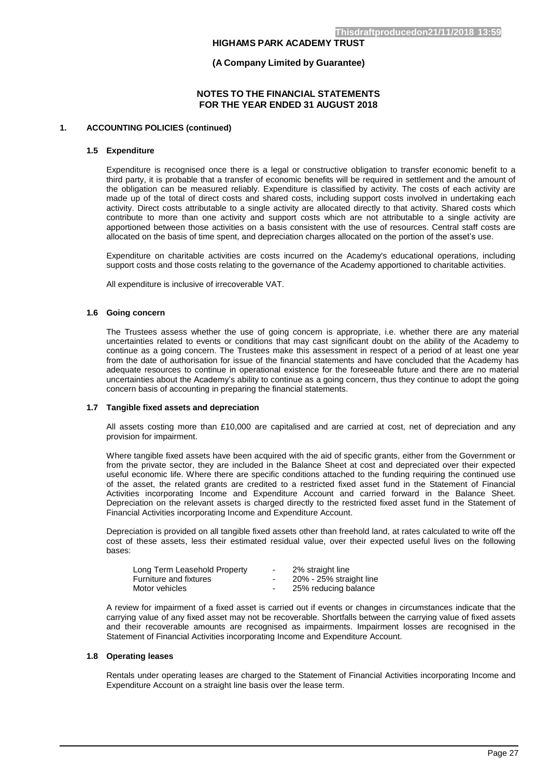#### **(A Company Limited by Guarantee)**

### **NOTES TO THE FINANCIAL STATEMENTS FOR THE YEAR ENDED 31 AUGUST 2018**

### **1. ACCOUNTING POLICIES (continued)**

#### **1.5 Expenditure**

Expenditure is recognised once there is a legal or constructive obligation to transfer economic benefit to a third party, it is probable that a transfer of economic benefits will be required in settlement and the amount of the obligation can be measured reliably. Expenditure is classified by activity. The costs of each activity are made up of the total of direct costs and shared costs, including support costs involved in undertaking each activity. Direct costs attributable to a single activity are allocated directly to that activity. Shared costs which contribute to more than one activity and support costs which are not attributable to a single activity are apportioned between those activities on a basis consistent with the use of resources. Central staff costs are allocated on the basis of time spent, and depreciation charges allocated on the portion of the asset's use.

Expenditure on charitable activities are costs incurred on the Academy's educational operations, including support costs and those costs relating to the governance of the Academy apportioned to charitable activities.

All expenditure is inclusive of irrecoverable VAT.

#### **1.6 Going concern**

The Trustees assess whether the use of going concern is appropriate, i.e. whether there are any material uncertainties related to events or conditions that may cast significant doubt on the ability of the Academy to continue as a going concern. The Trustees make this assessment in respect of a period of at least one year from the date of authorisation for issue of the financial statements and have concluded that the Academy has adequate resources to continue in operational existence for the foreseeable future and there are no material uncertainties about the Academy's ability to continue as a going concern, thus they continue to adopt the going concern basis of accounting in preparing the financial statements.

#### **1.7 Tangible fixed assets and depreciation**

All assets costing more than £10,000 are capitalised and are carried at cost, net of depreciation and any provision for impairment.

Where tangible fixed assets have been acquired with the aid of specific grants, either from the Government or from the private sector, they are included in the Balance Sheet at cost and depreciated over their expected useful economic life. Where there are specific conditions attached to the funding requiring the continued use of the asset, the related grants are credited to a restricted fixed asset fund in the Statement of Financial Activities incorporating Income and Expenditure Account and carried forward in the Balance Sheet. Depreciation on the relevant assets is charged directly to the restricted fixed asset fund in the Statement of Financial Activities incorporating Income and Expenditure Account.

Depreciation is provided on all tangible fixed assets other than freehold land, at rates calculated to write off the cost of these assets, less their estimated residual value, over their expected useful lives on the following bases:

| Long Term Leasehold Property | $\sim$                   | 2% straight line        |
|------------------------------|--------------------------|-------------------------|
| Furniture and fixtures       | $\overline{\phantom{a}}$ | 20% - 25% straight line |
| Motor vehicles               | ۰                        | 25% reducing balance    |

A review for impairment of a fixed asset is carried out if events or changes in circumstances indicate that the carrying value of any fixed asset may not be recoverable. Shortfalls between the carrying value of fixed assets and their recoverable amounts are recognised as impairments. Impairment losses are recognised in the Statement of Financial Activities incorporating Income and Expenditure Account.

#### **1.8 Operating leases**

Rentals under operating leases are charged to the Statement of Financial Activities incorporating Income and Expenditure Account on a straight line basis over the lease term.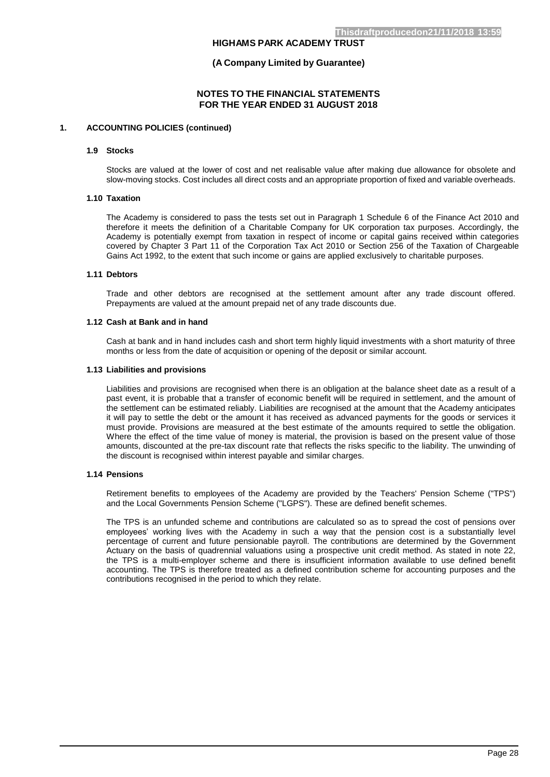#### **(A Company Limited by Guarantee)**

### **NOTES TO THE FINANCIAL STATEMENTS FOR THE YEAR ENDED 31 AUGUST 2018**

### **1. ACCOUNTING POLICIES (continued)**

#### **1.9 Stocks**

Stocks are valued at the lower of cost and net realisable value after making due allowance for obsolete and slow-moving stocks. Cost includes all direct costs and an appropriate proportion of fixed and variable overheads.

### **1.10 Taxation**

The Academy is considered to pass the tests set out in Paragraph 1 Schedule 6 of the Finance Act 2010 and therefore it meets the definition of a Charitable Company for UK corporation tax purposes. Accordingly, the Academy is potentially exempt from taxation in respect of income or capital gains received within categories covered by Chapter 3 Part 11 of the Corporation Tax Act 2010 or Section 256 of the Taxation of Chargeable Gains Act 1992, to the extent that such income or gains are applied exclusively to charitable purposes.

#### **1.11 Debtors**

Trade and other debtors are recognised at the settlement amount after any trade discount offered. Prepayments are valued at the amount prepaid net of any trade discounts due.

#### **1.12 Cash at Bank and in hand**

Cash at bank and in hand includes cash and short term highly liquid investments with a short maturity of three months or less from the date of acquisition or opening of the deposit or similar account.

#### **1.13 Liabilities and provisions**

Liabilities and provisions are recognised when there is an obligation at the balance sheet date as a result of a past event, it is probable that a transfer of economic benefit will be required in settlement, and the amount of the settlement can be estimated reliably. Liabilities are recognised at the amount that the Academy anticipates it will pay to settle the debt or the amount it has received as advanced payments for the goods or services it must provide. Provisions are measured at the best estimate of the amounts required to settle the obligation. Where the effect of the time value of money is material, the provision is based on the present value of those amounts, discounted at the pre-tax discount rate that reflects the risks specific to the liability. The unwinding of the discount is recognised within interest payable and similar charges.

#### **1.14 Pensions**

Retirement benefits to employees of the Academy are provided by the Teachers' Pension Scheme ("TPS") and the Local Governments Pension Scheme ("LGPS"). These are defined benefit schemes.

The TPS is an unfunded scheme and contributions are calculated so as to spread the cost of pensions over employees' working lives with the Academy in such a way that the pension cost is a substantially level percentage of current and future pensionable payroll. The contributions are determined by the Government Actuary on the basis of quadrennial valuations using a prospective unit credit method. As stated in note 22, the TPS is a multi-employer scheme and there is insufficient information available to use defined benefit accounting. The TPS is therefore treated as a defined contribution scheme for accounting purposes and the contributions recognised in the period to which they relate.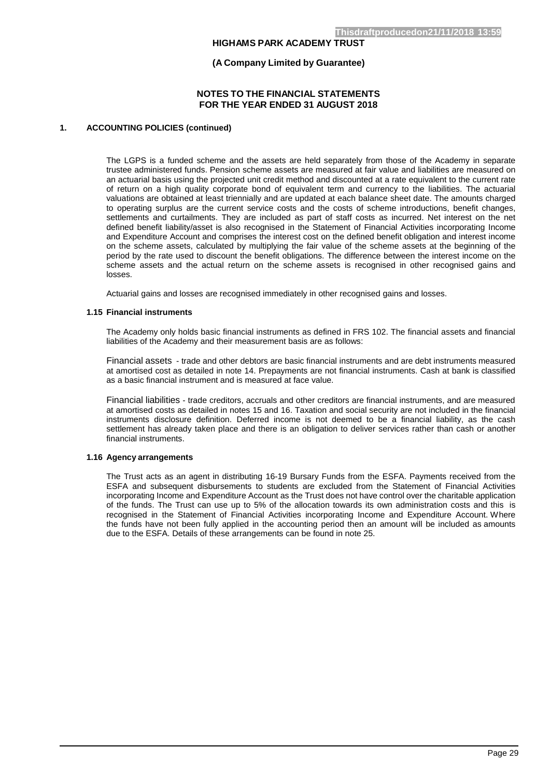#### **(A Company Limited by Guarantee)**

### **NOTES TO THE FINANCIAL STATEMENTS FOR THE YEAR ENDED 31 AUGUST 2018**

### **1. ACCOUNTING POLICIES (continued)**

The LGPS is a funded scheme and the assets are held separately from those of the Academy in separate trustee administered funds. Pension scheme assets are measured at fair value and liabilities are measured on an actuarial basis using the projected unit credit method and discounted at a rate equivalent to the current rate of return on a high quality corporate bond of equivalent term and currency to the liabilities. The actuarial valuations are obtained at least triennially and are updated at each balance sheet date. The amounts charged to operating surplus are the current service costs and the costs of scheme introductions, benefit changes, settlements and curtailments. They are included as part of staff costs as incurred. Net interest on the net defined benefit liability/asset is also recognised in the Statement of Financial Activities incorporating Income and Expenditure Account and comprises the interest cost on the defined benefit obligation and interest income on the scheme assets, calculated by multiplying the fair value of the scheme assets at the beginning of the period by the rate used to discount the benefit obligations. The difference between the interest income on the scheme assets and the actual return on the scheme assets is recognised in other recognised gains and losses.

Actuarial gains and losses are recognised immediately in other recognised gains and losses.

#### **1.15 Financial instruments**

The Academy only holds basic financial instruments as defined in FRS 102. The financial assets and financial liabilities of the Academy and their measurement basis are as follows:

Financial assets - trade and other debtors are basic financial instruments and are debt instruments measured at amortised cost as detailed in note 14. Prepayments are not financial instruments. Cash at bank is classified as a basic financial instrument and is measured at face value.

Financial liabilities - trade creditors, accruals and other creditors are financial instruments, and are measured at amortised costs as detailed in notes 15 and 16. Taxation and social security are not included in the financial instruments disclosure definition. Deferred income is not deemed to be a financial liability, as the cash settlement has already taken place and there is an obligation to deliver services rather than cash or another financial instruments.

#### **1.16 Agency arrangements**

The Trust acts as an agent in distributing 16-19 Bursary Funds from the ESFA. Payments received from the ESFA and subsequent disbursements to students are excluded from the Statement of Financial Activities incorporating Income and Expenditure Account as the Trust does not have control over the charitable application of the funds. The Trust can use up to 5% of the allocation towards its own administration costs and this is recognised in the Statement of Financial Activities incorporating Income and Expenditure Account. Where the funds have not been fully applied in the accounting period then an amount will be included as amounts due to the ESFA. Details of these arrangements can be found in note 25.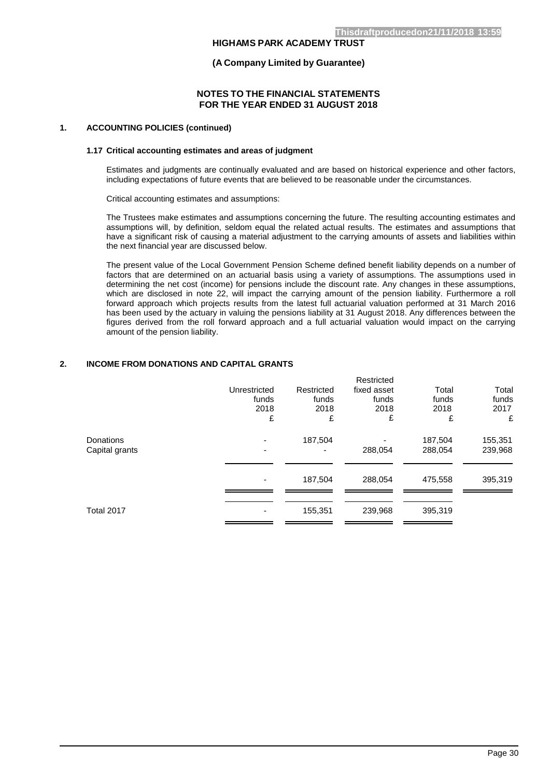### **(A Company Limited by Guarantee)**

### **NOTES TO THE FINANCIAL STATEMENTS FOR THE YEAR ENDED 31 AUGUST 2018**

### **1. ACCOUNTING POLICIES (continued)**

#### **1.17 Critical accounting estimates and areas of judgment**

Estimates and judgments are continually evaluated and are based on historical experience and other factors, including expectations of future events that are believed to be reasonable under the circumstances.

Critical accounting estimates and assumptions:

The Trustees make estimates and assumptions concerning the future. The resulting accounting estimates and assumptions will, by definition, seldom equal the related actual results. The estimates and assumptions that have a significant risk of causing a material adjustment to the carrying amounts of assets and liabilities within the next financial year are discussed below.

The present value of the Local Government Pension Scheme defined benefit liability depends on a number of factors that are determined on an actuarial basis using a variety of assumptions. The assumptions used in determining the net cost (income) for pensions include the discount rate. Any changes in these assumptions, which are disclosed in note 22, will impact the carrying amount of the pension liability. Furthermore a roll forward approach which projects results from the latest full actuarial valuation performed at 31 March 2016 has been used by the actuary in valuing the pensions liability at 31 August 2018. Any differences between the figures derived from the roll forward approach and a full actuarial valuation would impact on the carrying amount of the pension liability.

### **2. INCOME FROM DONATIONS AND CAPITAL GRANTS**

|                             | Unrestricted<br>funds<br>2018<br>£ | Restricted<br>funds<br>2018<br>£ | Restricted<br>fixed asset<br>funds<br>2018<br>£ | Total<br>funds<br>2018<br>£ | Total<br>funds<br>2017<br>£ |
|-----------------------------|------------------------------------|----------------------------------|-------------------------------------------------|-----------------------------|-----------------------------|
| Donations<br>Capital grants | $\blacksquare$                     | 187,504                          | 288,054                                         | 187,504<br>288,054          | 155,351<br>239,968          |
|                             | $\blacksquare$                     | 187,504                          | 288,054                                         | 475,558                     | 395,319                     |
| Total 2017                  |                                    | 155,351                          | 239,968                                         | 395,319                     |                             |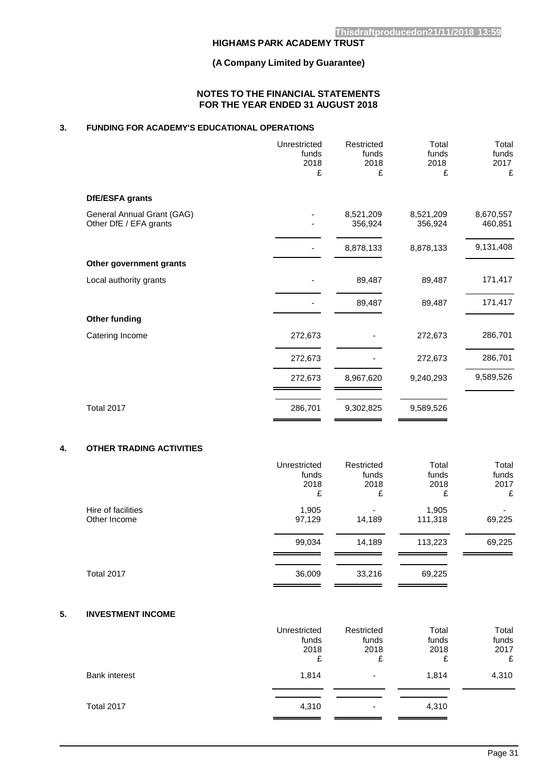# **(A Company Limited by Guarantee)**

### **NOTES TO THE FINANCIAL STATEMENTS FOR THE YEAR ENDED 31 AUGUST 2018**

# **3. FUNDING FOR ACADEMY'S EDUCATIONAL OPERATIONS**

|    |                                                      | Unrestricted<br>funds<br>2018<br>£ | Restricted<br>funds<br>2018<br>£ | Total<br>funds<br>2018<br>£ | Total<br>funds<br>2017<br>£ |
|----|------------------------------------------------------|------------------------------------|----------------------------------|-----------------------------|-----------------------------|
|    | DfE/ESFA grants                                      |                                    |                                  |                             |                             |
|    | General Annual Grant (GAG)<br>Other DfE / EFA grants |                                    | 8,521,209<br>356,924             | 8,521,209<br>356,924        | 8,670,557<br>460,851        |
|    |                                                      |                                    | 8,878,133                        | 8,878,133                   | 9,131,408                   |
|    | Other government grants                              |                                    |                                  |                             |                             |
|    | Local authority grants                               |                                    | 89,487                           | 89,487                      | 171,417                     |
|    |                                                      |                                    | 89,487                           | 89,487                      | 171,417                     |
|    | <b>Other funding</b>                                 |                                    |                                  |                             |                             |
|    | Catering Income                                      | 272,673                            |                                  | 272,673                     | 286,701                     |
|    |                                                      | 272,673                            |                                  | 272,673                     | 286,701                     |
|    |                                                      | 272,673                            | 8,967,620                        | 9,240,293                   | 9,589,526                   |
|    | <b>Total 2017</b>                                    | 286,701                            | 9,302,825                        | 9,589,526                   |                             |
| 4. | OTHER TRADING ACTIVITIES                             |                                    |                                  |                             |                             |
|    |                                                      | Unrestricted<br>funds<br>2018<br>£ | Restricted<br>funds<br>2018<br>£ | Total<br>funds<br>2018<br>£ | Total<br>funds<br>2017<br>£ |
|    | Hire of facilities<br>Other Income                   | 1,905<br>97,129                    | 14,189                           | 1,905<br>111,318            | 69,225                      |
|    |                                                      | 99,034                             | 14,189                           | 113,223                     | 69,225                      |
|    | <b>Total 2017</b>                                    | 36,009                             | 33,216                           | 69,225                      |                             |
| 5. | <b>INVESTMENT INCOME</b>                             |                                    |                                  |                             |                             |
|    |                                                      | Unrestricted<br>funds<br>2018<br>£ | Restricted<br>funds<br>2018<br>£ | Total<br>funds<br>2018<br>£ | Total<br>funds<br>2017<br>£ |
|    | <b>Bank interest</b>                                 | 1,814                              |                                  | 1,814                       | 4,310                       |

Total 2017 **4,310** 4,310 **4,310** 4,310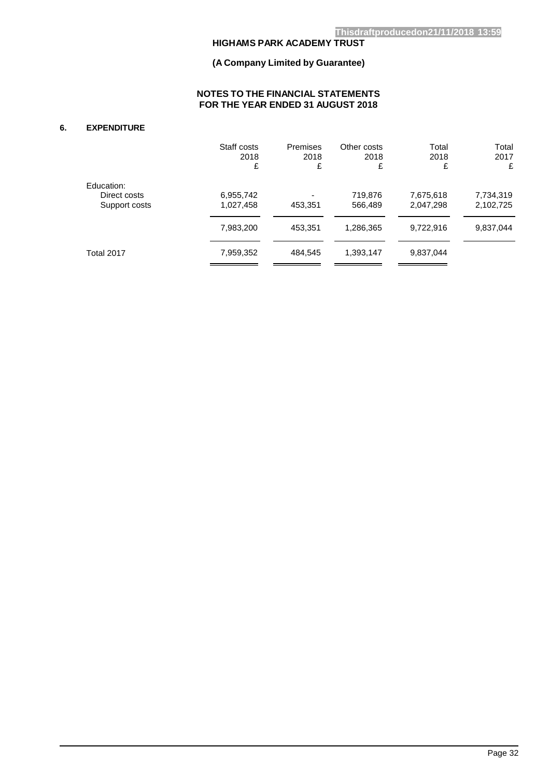# **(A Company Limited by Guarantee)**

# **NOTES TO THE FINANCIAL STATEMENTS FOR THE YEAR ENDED 31 AUGUST 2018**

# **6. EXPENDITURE**

|               | Staff costs<br>2018<br>£ | <b>Premises</b><br>2018<br>£ | Other costs<br>2018<br>£ | Total<br>2018<br>£ | Total<br>2017<br>£ |
|---------------|--------------------------|------------------------------|--------------------------|--------------------|--------------------|
| Education:    |                          |                              |                          |                    |                    |
| Direct costs  | 6,955,742                |                              | 719,876                  | 7,675,618          | 7,734,319          |
| Support costs | 1,027,458                | 453,351                      | 566,489                  | 2,047,298          | 2,102,725          |
|               | 7,983,200                | 453,351                      | 1,286,365                | 9,722,916          | 9,837,044          |
|               |                          |                              |                          |                    |                    |
| Total 2017    | 7,959,352                | 484,545                      | 1,393,147                | 9,837,044          |                    |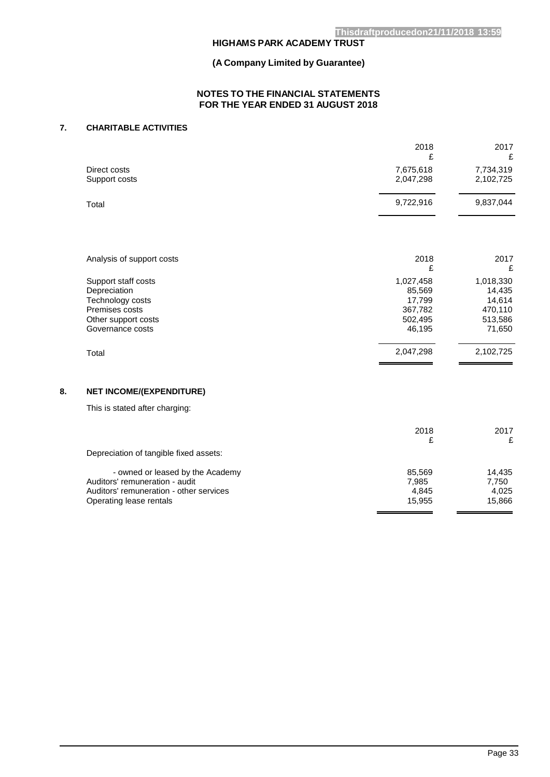# **(A Company Limited by Guarantee)**

## **NOTES TO THE FINANCIAL STATEMENTS FOR THE YEAR ENDED 31 AUGUST 2018**

# **7. CHARITABLE ACTIVITIES**

|    |                                                                                                                      | 2018<br>£                                                          | 2017<br>£                                                          |
|----|----------------------------------------------------------------------------------------------------------------------|--------------------------------------------------------------------|--------------------------------------------------------------------|
|    | Direct costs<br>Support costs                                                                                        | 7,675,618<br>2,047,298                                             | 7,734,319<br>2,102,725                                             |
|    | Total                                                                                                                | 9,722,916                                                          | 9,837,044                                                          |
|    | Analysis of support costs                                                                                            | 2018                                                               | 2017                                                               |
|    | Support staff costs<br>Depreciation<br>Technology costs<br>Premises costs<br>Other support costs<br>Governance costs | £<br>1,027,458<br>85,569<br>17,799<br>367,782<br>502,495<br>46,195 | £<br>1,018,330<br>14,435<br>14,614<br>470,110<br>513,586<br>71,650 |
|    | Total                                                                                                                | 2,047,298                                                          | 2,102,725                                                          |
| 8. | <b>NET INCOME/(EXPENDITURE)</b>                                                                                      |                                                                    |                                                                    |
|    | This is stated after charging:                                                                                       |                                                                    |                                                                    |
|    |                                                                                                                      | 2018<br>£                                                          | 2017<br>£                                                          |
|    | Depreciation of tangible fixed assets:                                                                               |                                                                    |                                                                    |

- owned or leased by the Academy and the South of the South Book of the South Book of the South Book of the So<br>
85,569 14,435 17,750 15' temuneration - audit Auditors' remuneration - audit 7,985 7,750 Auditors' remuneration - other services 4,025 4,025 4,025 4,025 4,025 4,025 Operating lease rentals 15,955 15,866 L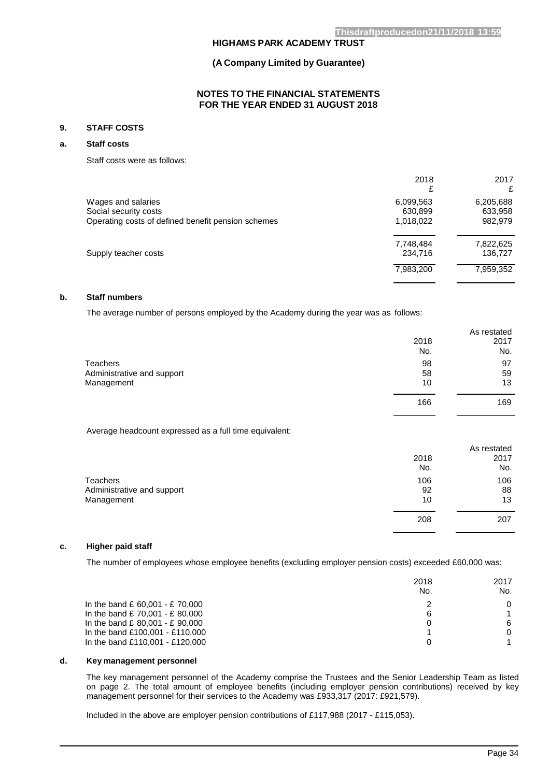### **(A Company Limited by Guarantee)**

### **NOTES TO THE FINANCIAL STATEMENTS FOR THE YEAR ENDED 31 AUGUST 2018**

#### **9. STAFF COSTS**

#### **a. Staff costs**

Staff costs were as follows:

|                                                                                                   | 2018<br>£                         | 2017<br>£                       |
|---------------------------------------------------------------------------------------------------|-----------------------------------|---------------------------------|
| Wages and salaries<br>Social security costs<br>Operating costs of defined benefit pension schemes | 6,099,563<br>630,899<br>1,018,022 | 6,205,688<br>633,958<br>982,979 |
| Supply teacher costs                                                                              | 7,748,484<br>234,716              | 7,822,625<br>136,727            |
|                                                                                                   | 7,983,200                         | 7,959,352                       |

### **b. Staff numbers**

The average number of persons employed by the Academy during the year was as follows:

|                            |      | As restated |
|----------------------------|------|-------------|
|                            | 2018 | 2017        |
|                            | No.  | No.         |
| <b>Teachers</b>            | 98   | 97          |
| Administrative and support | 58   | 59          |
| Management                 | 10   | 13          |
|                            | 166  | 169         |
|                            |      |             |

Average headcount expressed as a full time equivalent:

| As restated |
|-------------|
| 2017        |
| No.         |
| 106         |
| 88          |
| 13          |
| 207         |
|             |

#### **c. Higher paid staff**

The number of employees whose employee benefits (excluding employer pension costs) exceeded £60,000 was:

|                                                                    | 2018<br>No. | 2017<br>No. |
|--------------------------------------------------------------------|-------------|-------------|
| In the band £ 60,001 - £ 70,000<br>In the band £ 70,001 - £ 80,000 | 2<br>6      | 0           |
| In the band £ 80,001 - £ 90,000                                    | 0           | 6           |
| In the band £100,001 - £110,000<br>In the band £110,001 - £120,000 | 0           | 0           |

# **d. Key management personnel**

The key management personnel of the Academy comprise the Trustees and the Senior Leadership Team as listed on page 2. The total amount of employee benefits (including employer pension contributions) received by key management personnel for their services to the Academy was £933,317 (2017: £921,579).

Included in the above are employer pension contributions of £117,988 (2017 - £115,053).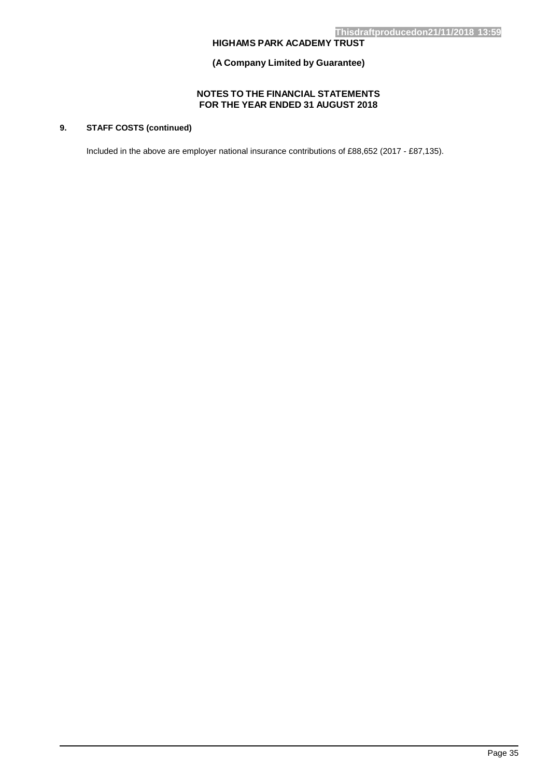**(A Company Limited by Guarantee)**

### **NOTES TO THE FINANCIAL STATEMENTS FOR THE YEAR ENDED 31 AUGUST 2018**

# **9. STAFF COSTS (continued)**

Included in the above are employer national insurance contributions of £88,652 (2017 - £87,135).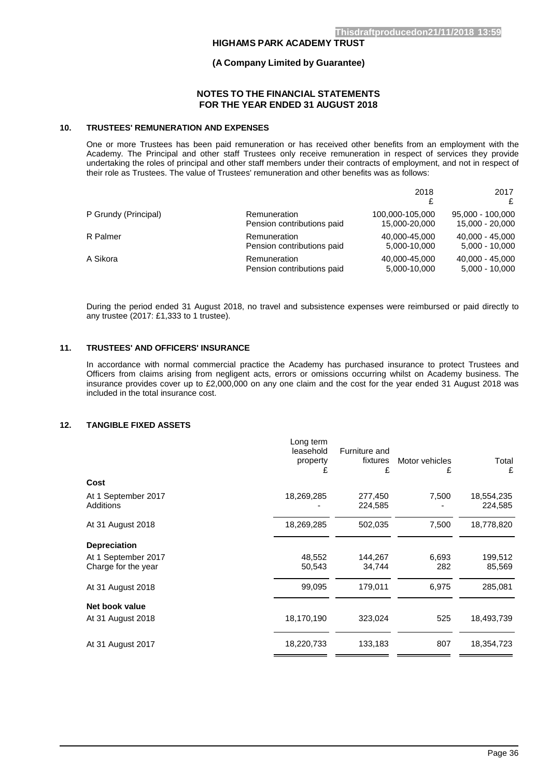### **(A Company Limited by Guarantee)**

#### **NOTES TO THE FINANCIAL STATEMENTS FOR THE YEAR ENDED 31 AUGUST 2018**

### **10. TRUSTEES' REMUNERATION AND EXPENSES**

One or more Trustees has been paid remuneration or has received other benefits from an employment with the Academy. The Principal and other staff Trustees only receive remuneration in respect of services they provide undertaking the roles of principal and other staff members under their contracts of employment, and not in respect of their role as Trustees. The value of Trustees' remuneration and other benefits was as follows:

|                      |                            | 2018            | 2017<br>£        |
|----------------------|----------------------------|-----------------|------------------|
| P Grundy (Principal) | Remuneration               | 100,000-105,000 | 95,000 - 100,000 |
|                      | Pension contributions paid | 15,000-20,000   | 15,000 - 20,000  |
| R Palmer             | Remuneration               | 40.000-45.000   | 40.000 - 45.000  |
|                      | Pension contributions paid | 5,000-10,000    | $5,000 - 10,000$ |
| A Sikora             | Remuneration               | 40.000-45.000   | 40.000 - 45.000  |
|                      | Pension contributions paid | 5,000-10,000    | $5,000 - 10,000$ |

During the period ended 31 August 2018, no travel and subsistence expenses were reimbursed or paid directly to any trustee (2017: £1,333 to 1 trustee).

## **11. TRUSTEES' AND OFFICERS' INSURANCE**

In accordance with normal commercial practice the Academy has purchased insurance to protect Trustees and Officers from claims arising from negligent acts, errors or omissions occurring whilst on Academy business. The insurance provides cover up to £2,000,000 on any one claim and the cost for the year ended 31 August 2018 was included in the total insurance cost.

### **12. TANGIBLE FIXED ASSETS**

|                                            | Long term<br>leasehold<br>property<br>£ | Furniture and<br>fixtures<br>£ | Motor vehicles<br>£ | Total<br>£            |
|--------------------------------------------|-----------------------------------------|--------------------------------|---------------------|-----------------------|
| Cost                                       |                                         |                                |                     |                       |
| At 1 September 2017<br>Additions           | 18,269,285                              | 277,450<br>224,585             | 7,500               | 18,554,235<br>224,585 |
| At 31 August 2018                          | 18,269,285                              | 502,035                        | 7,500               | 18,778,820            |
| <b>Depreciation</b>                        |                                         |                                |                     |                       |
| At 1 September 2017<br>Charge for the year | 48,552<br>50,543                        | 144,267<br>34,744              | 6,693<br>282        | 199,512<br>85,569     |
| At 31 August 2018                          | 99,095                                  | 179,011                        | 6,975               | 285,081               |
| Net book value                             |                                         |                                |                     |                       |
| At 31 August 2018                          | 18,170,190                              | 323,024                        | 525                 | 18,493,739            |
| At 31 August 2017                          | 18,220,733                              | 133,183                        | 807                 | 18,354,723            |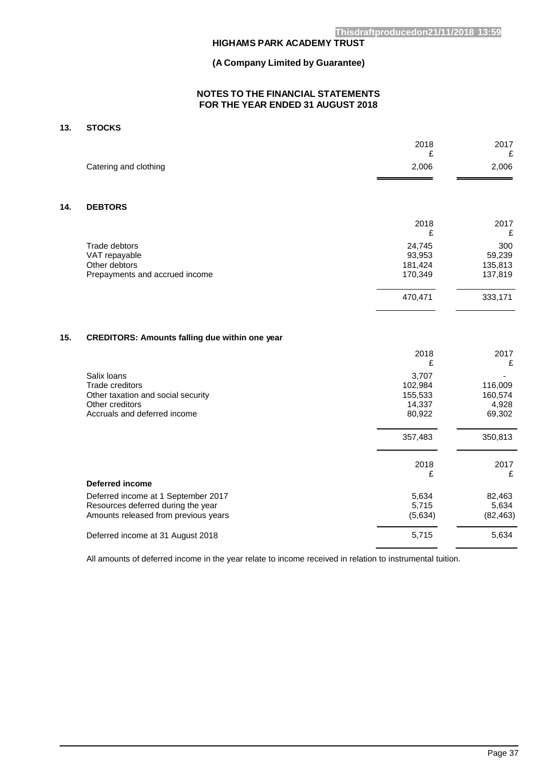# **(A Company Limited by Guarantee)**

## **NOTES TO THE FINANCIAL STATEMENTS FOR THE YEAR ENDED 31 AUGUST 2018**

# **13. STOCKS**

|     |                                                                                                                                      | 2018<br>£                                       | 2017<br>£                             |
|-----|--------------------------------------------------------------------------------------------------------------------------------------|-------------------------------------------------|---------------------------------------|
|     | Catering and clothing                                                                                                                | 2,006                                           | 2,006                                 |
| 14. | <b>DEBTORS</b>                                                                                                                       |                                                 |                                       |
|     |                                                                                                                                      | 2018<br>£                                       | 2017<br>£                             |
|     | Trade debtors<br>VAT repayable<br>Other debtors<br>Prepayments and accrued income                                                    | 24,745<br>93,953<br>181,424<br>170,349          | 300<br>59,239<br>135,813<br>137,819   |
|     |                                                                                                                                      | 470,471                                         | 333,171                               |
| 15. | <b>CREDITORS: Amounts falling due within one year</b>                                                                                |                                                 |                                       |
|     |                                                                                                                                      | 2018<br>£                                       | 2017<br>£                             |
|     | Salix loans<br>Trade creditors<br>Other taxation and social security<br>Other creditors<br>Accruals and deferred income              | 3,707<br>102,984<br>155,533<br>14,337<br>80,922 | 116,009<br>160,574<br>4,928<br>69,302 |
|     |                                                                                                                                      | 357,483                                         | 350,813                               |
|     |                                                                                                                                      | 2018<br>£                                       | 2017<br>£                             |
|     | Deferred income<br>Deferred income at 1 September 2017<br>Resources deferred during the year<br>Amounts released from previous years | 5,634<br>5,715<br>(5,634)                       | 82,463<br>5,634<br>(82, 463)          |
|     | Deferred income at 31 August 2018                                                                                                    | 5,715                                           | 5,634                                 |

All amounts of deferred income in the year relate to income received in relation to instrumental tuition.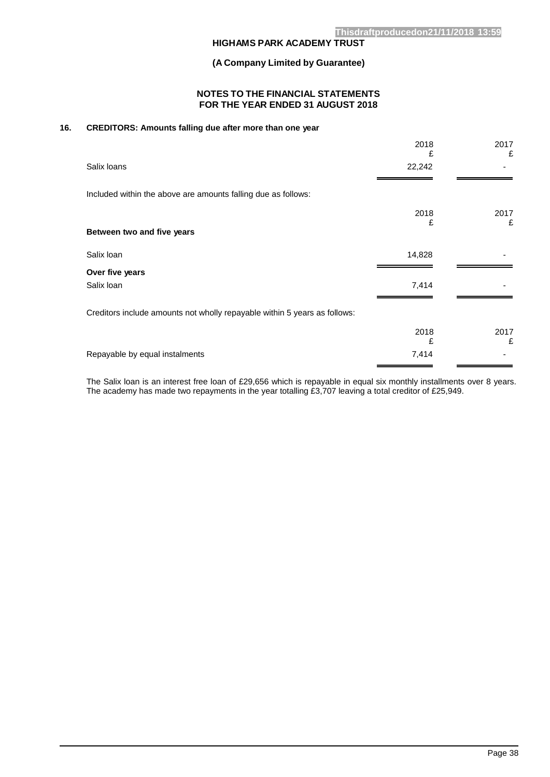**(A Company Limited by Guarantee)**

### **NOTES TO THE FINANCIAL STATEMENTS FOR THE YEAR ENDED 31 AUGUST 2018**

# **16. CREDITORS: Amounts falling due after more than one year**

|                                                                           | 2018<br>£ | 2017<br>£ |
|---------------------------------------------------------------------------|-----------|-----------|
| Salix loans                                                               | 22,242    |           |
| Included within the above are amounts falling due as follows:             |           |           |
|                                                                           | 2018<br>£ | 2017<br>£ |
| Between two and five years                                                |           |           |
| Salix Ioan                                                                | 14,828    |           |
| Over five years                                                           |           |           |
| Salix Ioan                                                                | 7,414     |           |
| Creditors include amounts not wholly repayable within 5 years as follows: |           |           |
|                                                                           | 2018<br>£ | 2017<br>£ |
| Repayable by equal instalments                                            | 7,414     |           |

The Salix loan is an interest free loan of £29,656 which is repayable in equal six monthly installments over 8 years. The academy has made two repayments in the year totalling £3,707 leaving a total creditor of £25,949.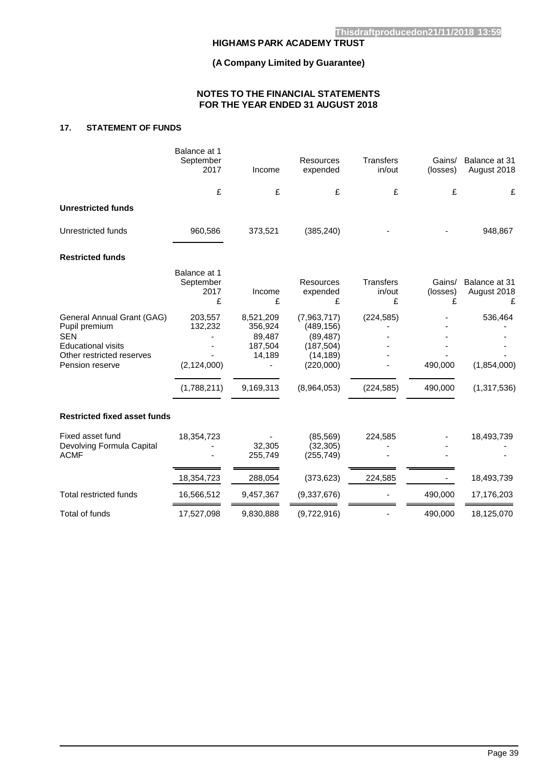# **(A Company Limited by Guarantee)**

# **NOTES TO THE FINANCIAL STATEMENTS FOR THE YEAR ENDED 31 AUGUST 2018**

# **17. STATEMENT OF FUNDS**

|                                                                                                                     | Balance at 1<br>September<br>2017      | Income                                              | <b>Resources</b><br>expended                                      | <b>Transfers</b><br>in/out      | Gains/<br>(losses)      | Balance at 31<br>August 2018 |
|---------------------------------------------------------------------------------------------------------------------|----------------------------------------|-----------------------------------------------------|-------------------------------------------------------------------|---------------------------------|-------------------------|------------------------------|
|                                                                                                                     | £                                      | £                                                   | £                                                                 | £                               | £                       | £                            |
| <b>Unrestricted funds</b>                                                                                           |                                        |                                                     |                                                                   |                                 |                         |                              |
| Unrestricted funds                                                                                                  | 960,586                                | 373,521                                             | (385, 240)                                                        |                                 |                         | 948,867                      |
| <b>Restricted funds</b>                                                                                             |                                        |                                                     |                                                                   |                                 |                         |                              |
|                                                                                                                     | Balance at 1<br>September<br>2017<br>£ | Income<br>£                                         | <b>Resources</b><br>expended<br>£                                 | <b>Transfers</b><br>in/out<br>£ | Gains/<br>(losses)<br>£ | Balance at 31<br>August 2018 |
| General Annual Grant (GAG)<br>Pupil premium<br><b>SEN</b><br><b>Educational visits</b><br>Other restricted reserves | 203,557<br>132,232                     | 8,521,209<br>356,924<br>89,487<br>187,504<br>14,189 | (7,963,717)<br>(489, 156)<br>(89, 487)<br>(187, 504)<br>(14, 189) | (224, 585)                      |                         | 536,464                      |
| Pension reserve                                                                                                     | (2, 124, 000)                          |                                                     | (220,000)                                                         |                                 | 490,000                 | (1,854,000)                  |
|                                                                                                                     | (1,788,211)                            | 9,169,313                                           | (8,964,053)                                                       | (224, 585)                      | 490,000                 | (1,317,536)                  |
| <b>Restricted fixed asset funds</b>                                                                                 |                                        |                                                     |                                                                   |                                 |                         |                              |
| Fixed asset fund<br>Devolving Formula Capital<br><b>ACMF</b>                                                        | 18,354,723                             | 32,305<br>255,749                                   | (85, 569)<br>(32, 305)<br>(255, 749)                              | 224,585                         |                         | 18,493,739                   |
|                                                                                                                     | 18,354,723                             | 288,054                                             | (373, 623)                                                        | 224,585                         |                         | 18,493,739                   |
| <b>Total restricted funds</b>                                                                                       | 16,566,512                             | 9,457,367                                           | (9,337,676)                                                       |                                 | 490,000                 | 17,176,203                   |
| Total of funds                                                                                                      | 17,527,098                             | 9,830,888                                           | (9,722,916)                                                       |                                 | 490,000                 | 18,125,070                   |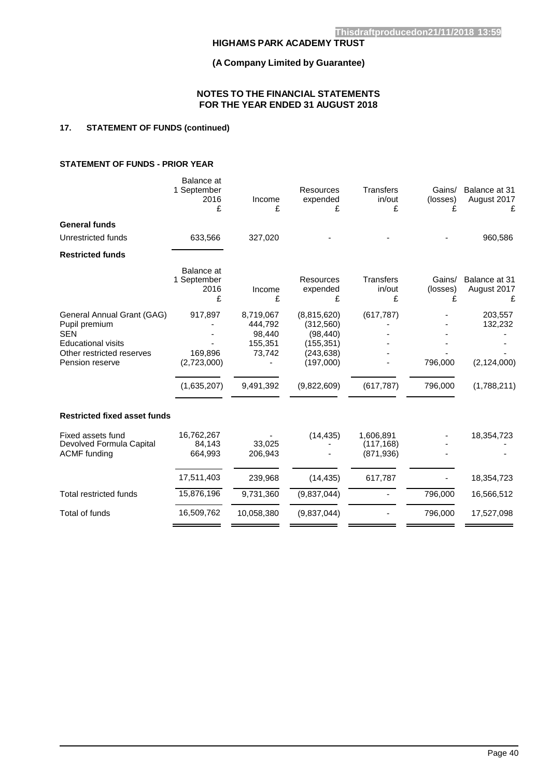# **(A Company Limited by Guarantee)**

### **NOTES TO THE FINANCIAL STATEMENTS FOR THE YEAR ENDED 31 AUGUST 2018**

# **17. STATEMENT OF FUNDS (continued)**

### **STATEMENT OF FUNDS - PRIOR YEAR**

|                                                                                                                                        | Balance at<br>1 September<br>2016<br>£           | Income<br>£                                                      | <b>Resources</b><br>expended<br>£                                                             | <b>Transfers</b><br>in/out<br>£       | Gains/<br>(losses)<br>£ | Balance at 31<br>August 2017<br>£                  |
|----------------------------------------------------------------------------------------------------------------------------------------|--------------------------------------------------|------------------------------------------------------------------|-----------------------------------------------------------------------------------------------|---------------------------------------|-------------------------|----------------------------------------------------|
| <b>General funds</b>                                                                                                                   |                                                  |                                                                  |                                                                                               |                                       |                         |                                                    |
| Unrestricted funds                                                                                                                     | 633,566                                          | 327,020                                                          |                                                                                               |                                       |                         | 960,586                                            |
| <b>Restricted funds</b>                                                                                                                |                                                  |                                                                  |                                                                                               |                                       |                         |                                                    |
|                                                                                                                                        | Balance at<br>1 September<br>2016<br>£           | Income<br>£                                                      | <b>Resources</b><br>expended<br>£                                                             | <b>Transfers</b><br>in/out<br>£       | Gains/<br>(losses)<br>£ | Balance at 31<br>August 2017                       |
| General Annual Grant (GAG)<br>Pupil premium<br><b>SEN</b><br><b>Educational visits</b><br>Other restricted reserves<br>Pension reserve | 917,897<br>169.896<br>(2,723,000)<br>(1,635,207) | 8,719,067<br>444,792<br>98.440<br>155,351<br>73,742<br>9,491,392 | (8,815,620)<br>(312,560)<br>(98, 440)<br>(155, 351)<br>(243, 638)<br>(197,000)<br>(9,822,609) | (617, 787)<br>(617, 787)              | 796,000<br>796,000      | 203,557<br>132,232<br>(2, 124, 000)<br>(1,788,211) |
| <b>Restricted fixed asset funds</b>                                                                                                    |                                                  |                                                                  |                                                                                               |                                       |                         |                                                    |
| Fixed assets fund<br>Devolved Formula Capital<br><b>ACMF</b> funding                                                                   | 16,762,267<br>84,143<br>664,993                  | 33,025<br>206.943                                                | (14, 435)                                                                                     | 1,606,891<br>(117, 168)<br>(871, 936) |                         | 18,354,723                                         |
|                                                                                                                                        | 17,511,403                                       | 239,968                                                          | (14, 435)                                                                                     | 617,787                               |                         | 18,354,723                                         |
| <b>Total restricted funds</b>                                                                                                          | 15,876,196                                       | 9,731,360                                                        | (9,837,044)                                                                                   |                                       | 796,000                 | 16,566,512                                         |
| Total of funds                                                                                                                         | 16,509,762                                       | 10,058,380                                                       | (9,837,044)                                                                                   |                                       | 796,000                 | 17,527,098                                         |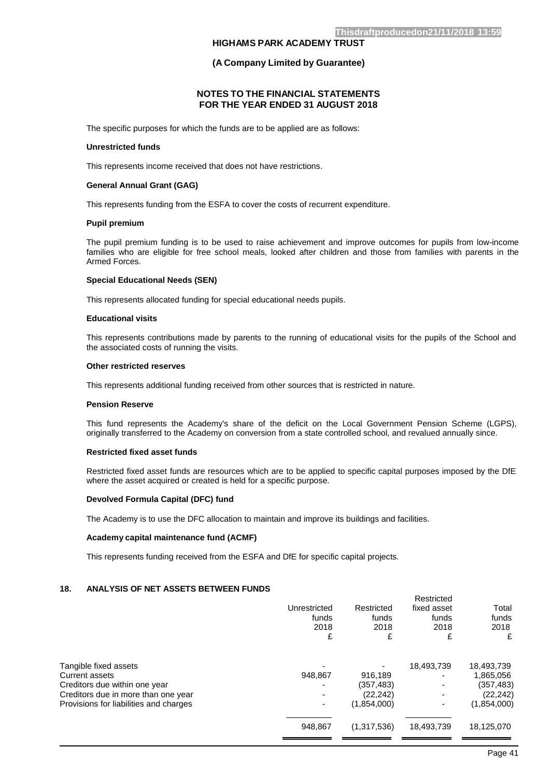#### **(A Company Limited by Guarantee)**

### **NOTES TO THE FINANCIAL STATEMENTS FOR THE YEAR ENDED 31 AUGUST 2018**

The specific purposes for which the funds are to be applied are as follows:

#### **Unrestricted funds**

This represents income received that does not have restrictions.

#### **General Annual Grant (GAG)**

This represents funding from the ESFA to cover the costs of recurrent expenditure.

#### **Pupil premium**

The pupil premium funding is to be used to raise achievement and improve outcomes for pupils from low-income families who are eligible for free school meals, looked after children and those from families with parents in the Armed Forces.

#### **Special Educational Needs (SEN)**

This represents allocated funding for special educational needs pupils.

#### **Educational visits**

This represents contributions made by parents to the running of educational visits for the pupils of the School and the associated costs of running the visits.

#### **Other restricted reserves**

This represents additional funding received from other sources that is restricted in nature.

#### **Pension Reserve**

This fund represents the Academy's share of the deficit on the Local Government Pension Scheme (LGPS), originally transferred to the Academy on conversion from a state controlled school, and revalued annually since.

### **Restricted fixed asset funds**

Restricted fixed asset funds are resources which are to be applied to specific capital purposes imposed by the DfE where the asset acquired or created is held for a specific purpose.

#### **Devolved Formula Capital (DFC) fund**

The Academy is to use the DFC allocation to maintain and improve its buildings and facilities.

#### **Academy capital maintenance fund (ACMF)**

This represents funding received from the ESFA and DfE for specific capital projects.

#### **18. ANALYSIS OF NET ASSETS BETWEEN FUNDS**

| Unrestricted<br>funds<br>2018<br>£ | Restricted<br>funds<br>2018<br>£ | fixed asset<br>funds<br>2018<br>£ | Total<br>funds<br>2018<br>£ |
|------------------------------------|----------------------------------|-----------------------------------|-----------------------------|
|                                    |                                  | 18,493,739                        | 18,493,739                  |
| 948,867                            | 916,189                          |                                   | 1,865,056                   |
|                                    | (357, 483)                       |                                   | (357, 483)                  |
| ۰                                  | (22, 242)                        |                                   | (22,242)                    |
|                                    | (1,854,000)                      |                                   | (1,854,000)                 |
| 948.867                            | (1,317,536)                      | 18,493,739                        | 18,125,070                  |
|                                    |                                  |                                   |                             |

Restricted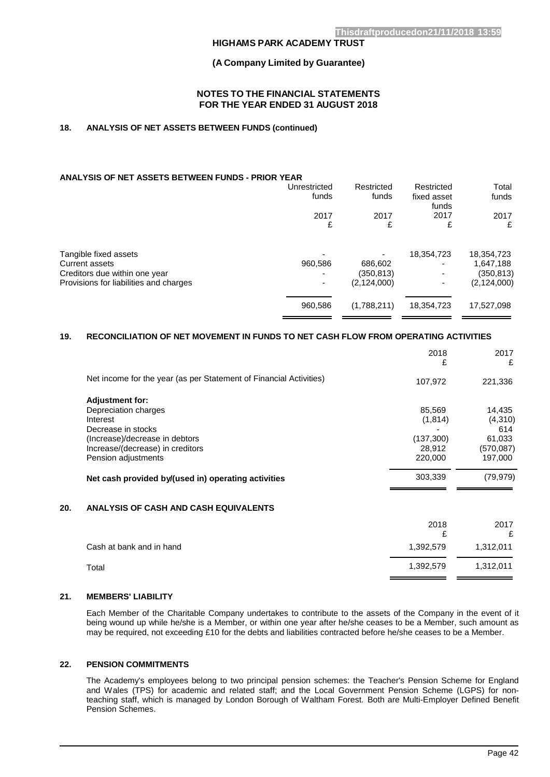### **(A Company Limited by Guarantee)**

### **NOTES TO THE FINANCIAL STATEMENTS FOR THE YEAR ENDED 31 AUGUST 2018**

### **18. ANALYSIS OF NET ASSETS BETWEEN FUNDS (continued)**

#### **ANALYSIS OF NET ASSETS BETWEEN FUNDS - PRIOR YEAR**

|                                        | Unrestricted             | Restricted    | Restricted           | Total         |
|----------------------------------------|--------------------------|---------------|----------------------|---------------|
|                                        | funds                    | funds         | fixed asset<br>funds | funds         |
|                                        | 2017                     | 2017          | 2017                 | 2017          |
|                                        | £                        | £             | £                    | £             |
| Tangible fixed assets                  |                          |               | 18,354,723           | 18,354,723    |
| <b>Current assets</b>                  | 960,586                  | 686,602       |                      | 1,647,188     |
| Creditors due within one year          | $\overline{\phantom{0}}$ | (350, 813)    | -                    | (350, 813)    |
| Provisions for liabilities and charges | -                        | (2, 124, 000) |                      | (2, 124, 000) |
|                                        | 960,586                  | (1,788,211)   | 18,354,723           | 17,527,098    |
|                                        |                          |               |                      |               |

#### **19. RECONCILIATION OF NET MOVEMENT IN FUNDS TO NET CASH FLOW FROM OPERATING ACTIVITIES**

|     |                                                                    | 2018<br>£ | 2017<br>£  |
|-----|--------------------------------------------------------------------|-----------|------------|
|     | Net income for the year (as per Statement of Financial Activities) | 107,972   | 221,336    |
|     | <b>Adjustment for:</b>                                             |           |            |
|     | Depreciation charges                                               | 85,569    | 14,435     |
|     | Interest                                                           | (1, 814)  | (4,310)    |
|     | Decrease in stocks                                                 |           | 614        |
|     | (Increase)/decrease in debtors                                     | (137,300) | 61,033     |
|     | Increase/(decrease) in creditors                                   | 28,912    | (570, 087) |
|     | Pension adjustments                                                | 220,000   | 197,000    |
|     | Net cash provided by/(used in) operating activities                | 303,339   | (79, 979)  |
| 20. | ANALYSIS OF CASH AND CASH EQUIVALENTS                              |           |            |
|     |                                                                    | 2018<br>£ | 2017<br>£  |
|     | Cash at bank and in hand                                           | 1,392,579 | 1,312,011  |
|     | Total                                                              | 1,392,579 | 1,312,011  |
|     |                                                                    |           |            |

### **21. MEMBERS' LIABILITY**

Each Member of the Charitable Company undertakes to contribute to the assets of the Company in the event of it being wound up while he/she is a Member, or within one year after he/she ceases to be a Member, such amount as may be required, not exceeding £10 for the debts and liabilities contracted before he/she ceases to be a Member.

### **22. PENSION COMMITMENTS**

The Academy's employees belong to two principal pension schemes: the Teacher's Pension Scheme for England and Wales (TPS) for academic and related staff; and the Local Government Pension Scheme (LGPS) for nonteaching staff, which is managed by London Borough of Waltham Forest. Both are Multi-Employer Defined Benefit Pension Schemes.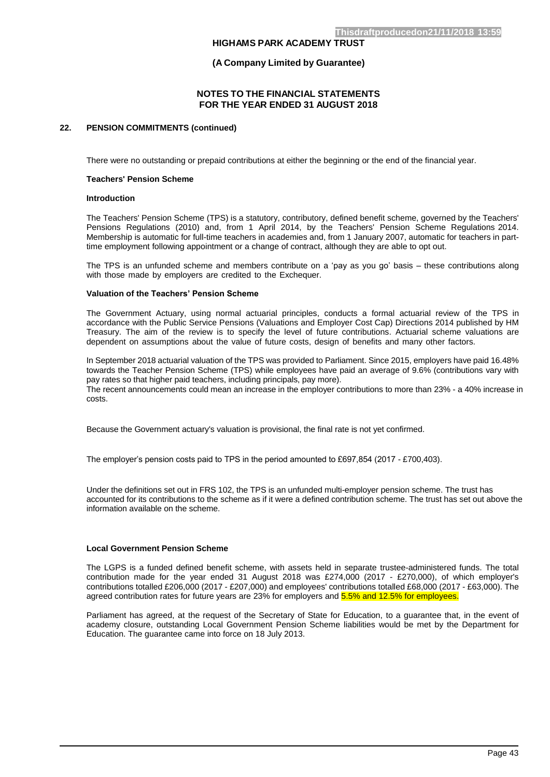#### **(A Company Limited by Guarantee)**

### **NOTES TO THE FINANCIAL STATEMENTS FOR THE YEAR ENDED 31 AUGUST 2018**

### **22. PENSION COMMITMENTS (continued)**

There were no outstanding or prepaid contributions at either the beginning or the end of the financial year.

#### **Teachers' Pension Scheme**

#### **Introduction**

The Teachers' Pension Scheme (TPS) is a statutory, contributory, defined benefit scheme, governed by the Teachers' Pensions Regulations (2010) and, from 1 April 2014, by the Teachers' Pension Scheme Regulations 2014. Membership is automatic for full-time teachers in academies and, from 1 January 2007, automatic for teachers in parttime employment following appointment or a change of contract, although they are able to opt out.

The TPS is an unfunded scheme and members contribute on a 'pay as you go' basis – these contributions along with those made by employers are credited to the Exchequer.

#### **Valuation of the Teachers' Pension Scheme**

The Government Actuary, using normal actuarial principles, conducts a formal actuarial review of the TPS in accordance with the Public Service Pensions (Valuations and Employer Cost Cap) Directions 2014 published by HM Treasury. The aim of the review is to specify the level of future contributions. Actuarial scheme valuations are dependent on assumptions about the value of future costs, design of benefits and many other factors.

In September 2018 actuarial valuation of the TPS was provided to Parliament. Since 2015, employers have paid 16.48% towards the Teacher Pension Scheme (TPS) while employees have paid an average of 9.6% (contributions vary with pay rates so that higher paid teachers, including principals, pay more). The recent announcements could mean an increase in the employer contributions to more than 23% - a 40% increase in costs.

Because the Government actuary's valuation is provisional, the final rate is not yet confirmed.

The employer's pension costs paid to TPS in the period amounted to £697,854 (2017 - £700,403).

Under the definitions set out in FRS 102, the TPS is an unfunded multi-employer pension scheme. The trust has accounted for its contributions to the scheme as if it were a defined contribution scheme. The trust has set out above the information available on the scheme.

#### **Local Government Pension Scheme**

The LGPS is a funded defined benefit scheme, with assets held in separate trustee-administered funds. The total contribution made for the year ended 31 August 2018 was £274,000 (2017 - £270,000), of which employer's contributions totalled £206,000 (2017 - £207,000) and employees' contributions totalled £68,000 (2017 - £63,000). The agreed contribution rates for future years are 23% for employers and 5.5% and 12.5% for employees.

Parliament has agreed, at the request of the Secretary of State for Education, to a guarantee that, in the event of academy closure, outstanding Local Government Pension Scheme liabilities would be met by the Department for Education. The guarantee came into force on 18 July 2013.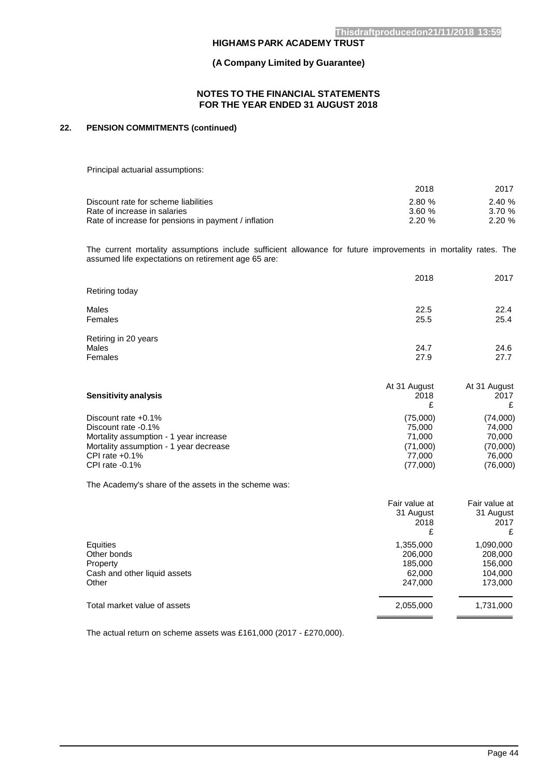### **(A Company Limited by Guarantee)**

### **NOTES TO THE FINANCIAL STATEMENTS FOR THE YEAR ENDED 31 AUGUST 2018**

# **22. PENSION COMMITMENTS (continued)**

Principal actuarial assumptions:

|                                                      | 2018      | 2017  |
|------------------------------------------------------|-----------|-------|
| Discount rate for scheme liabilities                 | 2.80 %    | 2.40% |
| Rate of increase in salaries                         | 3.60%     | 3.70% |
| Rate of increase for pensions in payment / inflation | $2.20 \%$ | 2.20% |

The current mortality assumptions include sufficient allowance for future improvements in mortality rates. The assumed life expectations on retirement age 65 are:

|                                          | 2018         | 2017         |
|------------------------------------------|--------------|--------------|
| Retiring today                           |              |              |
| Males<br>Females                         | 22.5<br>25.5 | 22.4<br>25.4 |
| Retiring in 20 years<br>Males<br>Females | 24.7<br>27.9 | 24.6<br>27.7 |

| Sensitivity analysis                   | At 31 August<br>2018 | At 31 August<br>2017<br>£ |
|----------------------------------------|----------------------|---------------------------|
| Discount rate $+0.1\%$                 | (75,000)             | (74,000)                  |
| Discount rate -0.1%                    | 75,000               | 74.000                    |
| Mortality assumption - 1 year increase | 71.000               | 70.000                    |
| Mortality assumption - 1 year decrease | (71,000)             | (70,000)                  |
| CPI rate $+0.1\%$                      | 77.000               | 76.000                    |
| CPI rate $-0.1\%$                      | (77,000)             | (76,000)                  |

The Academy's share of the assets in the scheme was:

| Fair value at | Fair value at<br>31 August |
|---------------|----------------------------|
| 2018<br>£     | 2017<br>£                  |
| 1,355,000     | 1,090,000                  |
| 206,000       | 208,000                    |
| 185,000       | 156,000                    |
| 62,000        | 104,000                    |
| 247,000       | 173,000                    |
| 2,055,000     | 1,731,000                  |
|               | 31 August                  |

The actual return on scheme assets was £161,000 (2017 - £270,000).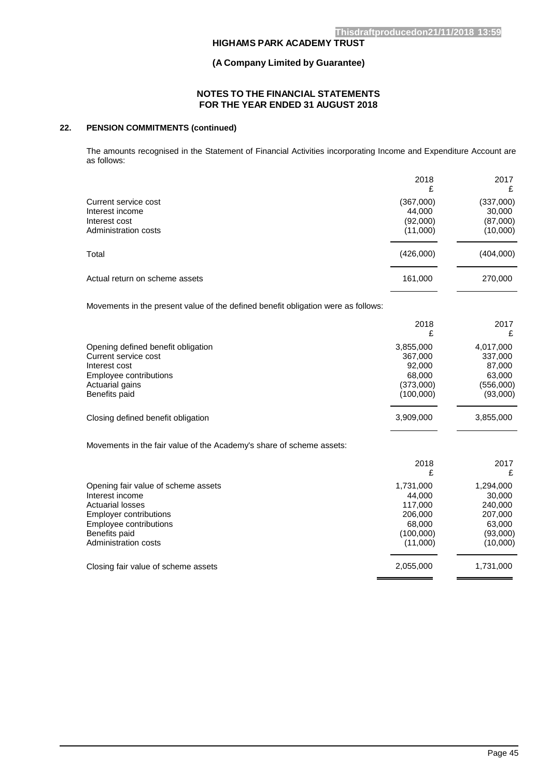# **(A Company Limited by Guarantee)**

### **NOTES TO THE FINANCIAL STATEMENTS FOR THE YEAR ENDED 31 AUGUST 2018**

# **22. PENSION COMMITMENTS (continued)**

The amounts recognised in the Statement of Financial Activities incorporating Income and Expenditure Account are as follows:

|                                                                                                                                                                                       | 2018<br>£                                                                    | 2017<br>£                                                                   |
|---------------------------------------------------------------------------------------------------------------------------------------------------------------------------------------|------------------------------------------------------------------------------|-----------------------------------------------------------------------------|
| Current service cost<br>Interest income<br>Interest cost<br>Administration costs                                                                                                      | (367,000)<br>44,000<br>(92,000)<br>(11,000)                                  | (337,000)<br>30,000<br>(87,000)<br>(10,000)                                 |
| Total                                                                                                                                                                                 | (426,000)                                                                    | (404,000)                                                                   |
| Actual return on scheme assets                                                                                                                                                        | 161,000                                                                      | 270,000                                                                     |
| Movements in the present value of the defined benefit obligation were as follows:                                                                                                     |                                                                              |                                                                             |
|                                                                                                                                                                                       | 2018<br>£                                                                    | 2017<br>£                                                                   |
| Opening defined benefit obligation<br>Current service cost<br>Interest cost<br>Employee contributions<br>Actuarial gains<br>Benefits paid                                             | 3,855,000<br>367,000<br>92,000<br>68,000<br>(373,000)<br>(100,000)           | 4,017,000<br>337,000<br>87,000<br>63,000<br>(556,000)<br>(93,000)           |
| Closing defined benefit obligation                                                                                                                                                    | 3,909,000                                                                    | 3,855,000                                                                   |
| Movements in the fair value of the Academy's share of scheme assets:                                                                                                                  |                                                                              |                                                                             |
|                                                                                                                                                                                       | 2018<br>£                                                                    | 2017<br>£                                                                   |
| Opening fair value of scheme assets<br>Interest income<br><b>Actuarial losses</b><br><b>Employer contributions</b><br>Employee contributions<br>Benefits paid<br>Administration costs | 1,731,000<br>44,000<br>117,000<br>206,000<br>68,000<br>(100,000)<br>(11,000) | 1,294,000<br>30,000<br>240,000<br>207,000<br>63,000<br>(93,000)<br>(10,000) |
| Closing fair value of scheme assets                                                                                                                                                   | 2,055,000                                                                    | 1,731,000                                                                   |